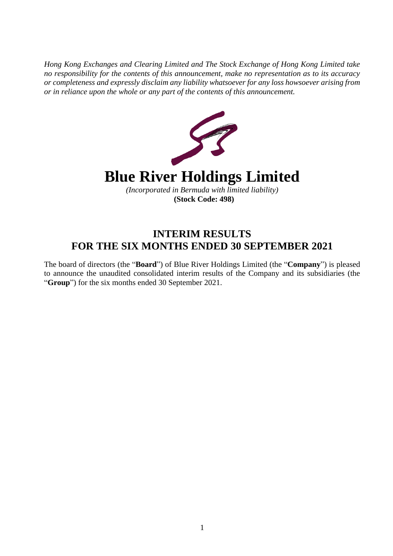*Hong Kong Exchanges and Clearing Limited and The Stock Exchange of Hong Kong Limited take no responsibility for the contents of this announcement, make no representation as to its accuracy or completeness and expressly disclaim any liability whatsoever for any loss howsoever arising from or in reliance upon the whole or any part of the contents of this announcement.*



# **INTERIM RESULTS FOR THE SIX MONTHS ENDED 30 SEPTEMBER 2021**

The board of directors (the "**Board**") of Blue River Holdings Limited (the "**Company**") is pleased to announce the unaudited consolidated interim results of the Company and its subsidiaries (the "**Group**") for the six months ended 30 September 2021.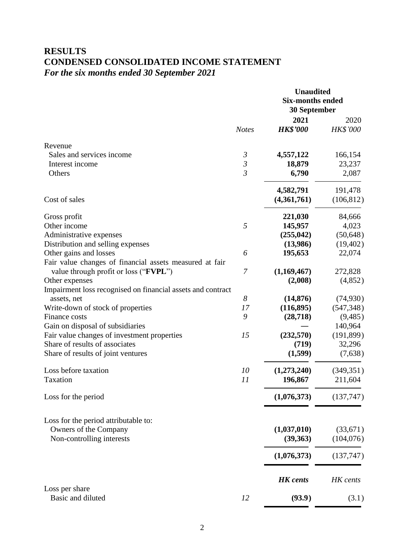# **RESULTS CONDENSED CONSOLIDATED INCOME STATEMENT** *For the six months ended 30 September 2021*

|                                                             |                | <b>Unaudited</b><br><b>Six-months ended</b><br>30 September |                         |  |
|-------------------------------------------------------------|----------------|-------------------------------------------------------------|-------------------------|--|
|                                                             | <b>Notes</b>   | 2021<br><b>HK\$'000</b>                                     | 2020<br><b>HK\$'000</b> |  |
| Revenue                                                     |                |                                                             |                         |  |
| Sales and services income                                   | $\mathfrak{Z}$ | 4,557,122                                                   | 166,154                 |  |
| Interest income                                             | $\mathfrak{Z}$ | 18,879                                                      | 23,237                  |  |
| Others                                                      | $\overline{3}$ | 6,790                                                       | 2,087                   |  |
|                                                             |                | 4,582,791                                                   | 191,478                 |  |
| Cost of sales                                               |                | (4,361,761)                                                 | (106, 812)              |  |
| Gross profit                                                |                | 221,030                                                     | 84,666                  |  |
| Other income                                                | 5              | 145,957                                                     | 4,023                   |  |
| Administrative expenses                                     |                | (255, 042)                                                  | (50, 648)               |  |
| Distribution and selling expenses                           |                | (13,986)                                                    | (19, 402)               |  |
| Other gains and losses                                      | 6              | 195,653                                                     | 22,074                  |  |
| Fair value changes of financial assets measured at fair     |                |                                                             |                         |  |
| value through profit or loss ("FVPL")                       | $\overline{7}$ | (1,169,467)                                                 | 272,828                 |  |
| Other expenses                                              |                | (2,008)                                                     | (4,852)                 |  |
| Impairment loss recognised on financial assets and contract |                |                                                             |                         |  |
| assets, net                                                 | 8              | (14, 876)                                                   | (74, 930)               |  |
| Write-down of stock of properties                           | 17             | (116, 895)                                                  | (547, 348)              |  |
| Finance costs                                               | 9              | (28, 718)                                                   | (9, 485)                |  |
| Gain on disposal of subsidiaries                            |                |                                                             | 140,964                 |  |
| Fair value changes of investment properties                 | 15             | (232,570)                                                   | (191, 899)              |  |
| Share of results of associates                              |                | (719)                                                       | 32,296                  |  |
| Share of results of joint ventures                          |                | (1,599)                                                     | (7,638)                 |  |
| Loss before taxation                                        | 10             | (1,273,240)                                                 | (349, 351)              |  |
| Taxation                                                    | 11             | 196,867                                                     | 211,604                 |  |
| Loss for the period                                         |                | (1,076,373)                                                 | (137,747)               |  |
| Loss for the period attributable to:                        |                |                                                             |                         |  |
| Owners of the Company                                       |                | (1,037,010)                                                 | (33,671)                |  |
| Non-controlling interests                                   |                | (39,363)                                                    | (104,076)               |  |
|                                                             |                | (1,076,373)                                                 | (137,747)               |  |
|                                                             |                | <b>HK</b> cents                                             | HK cents                |  |
| Loss per share                                              |                |                                                             |                         |  |
| Basic and diluted                                           | 12             | (93.9)                                                      | (3.1)                   |  |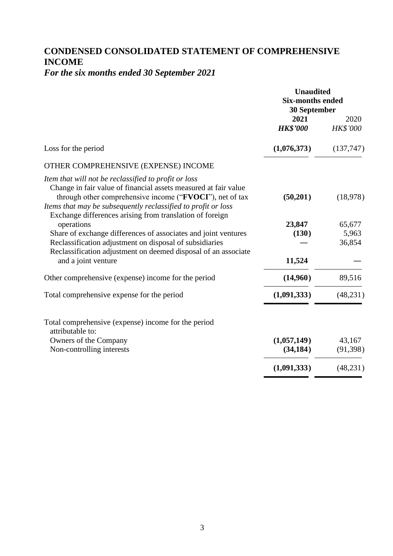# **CONDENSED CONSOLIDATED STATEMENT OF COMPREHENSIVE INCOME**

# *For the six months ended 30 September 2021*

|                                                                                                                                                                                                                                                                                                                  | <b>Unaudited</b><br><b>Six-months ended</b><br>30 September |                           |  |
|------------------------------------------------------------------------------------------------------------------------------------------------------------------------------------------------------------------------------------------------------------------------------------------------------------------|-------------------------------------------------------------|---------------------------|--|
|                                                                                                                                                                                                                                                                                                                  | 2021<br><b>HK\$'000</b>                                     | 2020<br>HK\$'000          |  |
| Loss for the period                                                                                                                                                                                                                                                                                              | (1,076,373)                                                 | (137,747)                 |  |
| OTHER COMPREHENSIVE (EXPENSE) INCOME                                                                                                                                                                                                                                                                             |                                                             |                           |  |
| Item that will not be reclassified to profit or loss<br>Change in fair value of financial assets measured at fair value<br>through other comprehensive income ("FVOCI"), net of tax<br>Items that may be subsequently reclassified to profit or loss<br>Exchange differences arising from translation of foreign | (50,201)                                                    | (18,978)                  |  |
| operations<br>Share of exchange differences of associates and joint ventures<br>Reclassification adjustment on disposal of subsidiaries<br>Reclassification adjustment on deemed disposal of an associate                                                                                                        | 23,847<br>(130)                                             | 65,677<br>5,963<br>36,854 |  |
| and a joint venture                                                                                                                                                                                                                                                                                              | 11,524                                                      |                           |  |
| Other comprehensive (expense) income for the period                                                                                                                                                                                                                                                              | (14,960)                                                    | 89,516                    |  |
| Total comprehensive expense for the period                                                                                                                                                                                                                                                                       | (1,091,333)                                                 | (48, 231)                 |  |
| Total comprehensive (expense) income for the period<br>attributable to:                                                                                                                                                                                                                                          |                                                             |                           |  |
| Owners of the Company<br>Non-controlling interests                                                                                                                                                                                                                                                               | (1,057,149)<br>(34, 184)                                    | 43,167<br>(91, 398)       |  |
|                                                                                                                                                                                                                                                                                                                  | (1,091,333)                                                 | (48, 231)                 |  |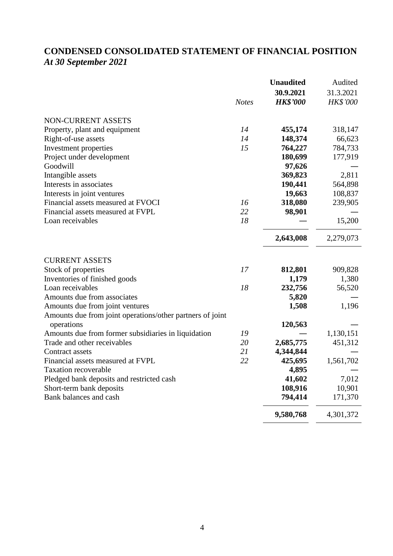# **CONDENSED CONSOLIDATED STATEMENT OF FINANCIAL POSITION** *At 30 September 2021*

|                                                           |              | <b>Unaudited</b> | Audited         |
|-----------------------------------------------------------|--------------|------------------|-----------------|
|                                                           |              | 30.9.2021        | 31.3.2021       |
|                                                           | <b>Notes</b> | <b>HK\$'000</b>  | <b>HK\$'000</b> |
| <b>NON-CURRENT ASSETS</b>                                 |              |                  |                 |
| Property, plant and equipment                             | 14           | 455,174          | 318,147         |
| Right-of-use assets                                       | 14           | 148,374          | 66,623          |
| Investment properties                                     | 15           | 764,227          | 784,733         |
| Project under development                                 |              | 180,699          | 177,919         |
| Goodwill                                                  |              | 97,626           |                 |
| Intangible assets                                         |              | 369,823          | 2,811           |
| Interests in associates                                   |              | 190,441          | 564,898         |
| Interests in joint ventures                               |              | 19,663           | 108,837         |
| Financial assets measured at FVOCI                        | 16           | 318,080          | 239,905         |
| Financial assets measured at FVPL                         | 22           | 98,901           |                 |
| Loan receivables                                          | 18           |                  | 15,200          |
|                                                           |              | 2,643,008        | 2,279,073       |
| <b>CURRENT ASSETS</b>                                     |              |                  |                 |
| Stock of properties                                       | 17           | 812,801          | 909,828         |
| Inventories of finished goods                             |              | 1,179            | 1,380           |
| Loan receivables                                          | 18           | 232,756          | 56,520          |
| Amounts due from associates                               |              | 5,820            |                 |
| Amounts due from joint ventures                           |              | 1,508            | 1,196           |
| Amounts due from joint operations/other partners of joint |              |                  |                 |
| operations                                                |              | 120,563          |                 |
| Amounts due from former subsidiaries in liquidation       | 19           |                  | 1,130,151       |
| Trade and other receivables                               | 20           | 2,685,775        | 451,312         |
| Contract assets                                           | 21           | 4,344,844        |                 |
| Financial assets measured at FVPL                         | 22           | 425,695          | 1,561,702       |
| <b>Taxation recoverable</b>                               |              | 4,895            |                 |
| Pledged bank deposits and restricted cash                 |              | 41,602           | 7,012           |
| Short-term bank deposits                                  |              | 108,916          | 10,901          |
| Bank balances and cash                                    |              | 794,414          | 171,370         |
|                                                           |              | 9,580,768        | 4,301,372       |
|                                                           |              |                  |                 |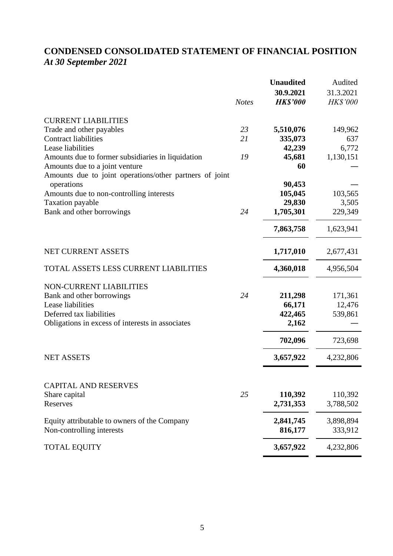# **CONDENSED CONSOLIDATED STATEMENT OF FINANCIAL POSITION** *At 30 September 2021*

|                                                                                           | <b>Notes</b> | <b>Unaudited</b><br>30.9.2021<br><b>HK\$'000</b> | Audited<br>31.3.2021<br><b>HK\$'000</b> |
|-------------------------------------------------------------------------------------------|--------------|--------------------------------------------------|-----------------------------------------|
| <b>CURRENT LIABILITIES</b>                                                                |              |                                                  |                                         |
| Trade and other payables                                                                  | 23           | 5,510,076                                        | 149,962                                 |
| <b>Contract liabilities</b>                                                               | 21           | 335,073                                          | 637                                     |
| Lease liabilities                                                                         |              | 42,239                                           | 6,772                                   |
| Amounts due to former subsidiaries in liquidation                                         | 19           | 45,681                                           | 1,130,151                               |
| Amounts due to a joint venture<br>Amounts due to joint operations/other partners of joint |              | 60                                               |                                         |
| operations                                                                                |              | 90,453                                           |                                         |
| Amounts due to non-controlling interests                                                  |              | 105,045                                          | 103,565                                 |
| <b>Taxation payable</b>                                                                   |              | 29,830                                           | 3,505                                   |
| Bank and other borrowings                                                                 | 24           | 1,705,301                                        | 229,349                                 |
|                                                                                           |              | 7,863,758                                        | 1,623,941                               |
| NET CURRENT ASSETS                                                                        |              | 1,717,010                                        | 2,677,431                               |
| TOTAL ASSETS LESS CURRENT LIABILITIES                                                     |              | 4,360,018                                        | 4,956,504                               |
| NON-CURRENT LIABILITIES                                                                   |              |                                                  |                                         |
| Bank and other borrowings                                                                 | 24           | 211,298                                          | 171,361                                 |
| Lease liabilities                                                                         |              | 66,171                                           | 12,476                                  |
| Deferred tax liabilities                                                                  |              | 422,465                                          | 539,861                                 |
| Obligations in excess of interests in associates                                          |              | 2,162                                            |                                         |
|                                                                                           |              | 702,096                                          | 723,698                                 |
| <b>NET ASSETS</b>                                                                         |              | 3,657,922                                        | 4,232,806                               |
|                                                                                           |              |                                                  |                                         |
| <b>CAPITAL AND RESERVES</b>                                                               |              |                                                  |                                         |
| Share capital                                                                             | 25           | 110,392                                          | 110,392                                 |
| Reserves                                                                                  |              | 2,731,353                                        | 3,788,502                               |
| Equity attributable to owners of the Company                                              |              | 2,841,745                                        | 3,898,894                               |
| Non-controlling interests                                                                 |              | 816,177                                          | 333,912                                 |
| <b>TOTAL EQUITY</b>                                                                       |              | 3,657,922                                        | 4,232,806                               |
|                                                                                           |              |                                                  |                                         |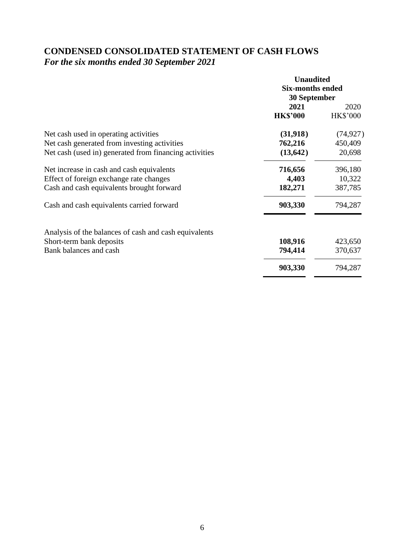# **CONDENSED CONSOLIDATED STATEMENT OF CASH FLOWS** *For the six months ended 30 September 2021*

|                                                        | <b>Unaudited</b>        |                 |  |
|--------------------------------------------------------|-------------------------|-----------------|--|
|                                                        | <b>Six-months ended</b> |                 |  |
|                                                        | 30 September            |                 |  |
|                                                        | 2021                    | 2020            |  |
|                                                        | <b>HK\$'000</b>         | <b>HK\$'000</b> |  |
| Net cash used in operating activities                  | (31,918)                | (74, 927)       |  |
| Net cash generated from investing activities           | 762,216                 | 450,409         |  |
| Net cash (used in) generated from financing activities | (13, 642)               | 20,698          |  |
| Net increase in cash and cash equivalents              | 716,656                 | 396,180         |  |
| Effect of foreign exchange rate changes                | 4,403                   | 10,322          |  |
| Cash and cash equivalents brought forward              | 182,271                 | 387,785         |  |
| Cash and cash equivalents carried forward              | 903,330                 | 794,287         |  |
| Analysis of the balances of cash and cash equivalents  |                         |                 |  |
| Short-term bank deposits                               | 108,916                 | 423,650         |  |
| Bank balances and cash                                 | 794,414                 | 370,637         |  |
|                                                        | 903,330                 | 794,287         |  |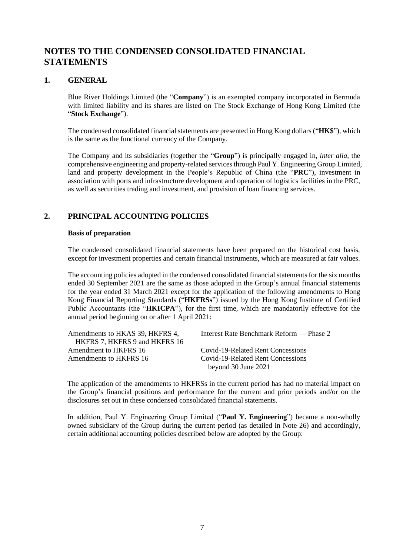## **NOTES TO THE CONDENSED CONSOLIDATED FINANCIAL STATEMENTS**

### **1. GENERAL**

Blue River Holdings Limited (the "**Company**") is an exempted company incorporated in Bermuda with limited liability and its shares are listed on The Stock Exchange of Hong Kong Limited (the "**Stock Exchange**").

The condensed consolidated financial statements are presented in Hong Kong dollars ("**HK\$**"), which is the same as the functional currency of the Company.

The Company and its subsidiaries (together the "**Group**") is principally engaged in, *inter alia*, the comprehensive engineering and property-related services through Paul Y. Engineering Group Limited, land and property development in the People's Republic of China (the "**PRC**"), investment in association with ports and infrastructure development and operation of logistics facilities in the PRC, as well as securities trading and investment, and provision of loan financing services.

### **2. PRINCIPAL ACCOUNTING POLICIES**

#### **Basis of preparation**

The condensed consolidated financial statements have been prepared on the historical cost basis, except for investment properties and certain financial instruments, which are measured at fair values.

The accounting policies adopted in the condensed consolidated financial statements for the six months ended 30 September 2021 are the same as those adopted in the Group's annual financial statements for the year ended 31 March 2021 except for the application of the following amendments to Hong Kong Financial Reporting Standards ("**HKFRSs**") issued by the Hong Kong Institute of Certified Public Accountants (the "**HKICPA**"), for the first time, which are mandatorily effective for the annual period beginning on or after 1 April 2021:

| Interest Rate Benchmark Reform — Phase 2 |
|------------------------------------------|
|                                          |
| Covid-19-Related Rent Concessions        |
| Covid-19-Related Rent Concessions        |
| beyond 30 June 2021                      |
|                                          |

The application of the amendments to HKFRSs in the current period has had no material impact on the Group's financial positions and performance for the current and prior periods and/or on the disclosures set out in these condensed consolidated financial statements.

In addition, Paul Y. Engineering Group Limited ("**Paul Y. Engineering**") became a non-wholly owned subsidiary of the Group during the current period (as detailed in Note 26) and accordingly, certain additional accounting policies described below are adopted by the Group: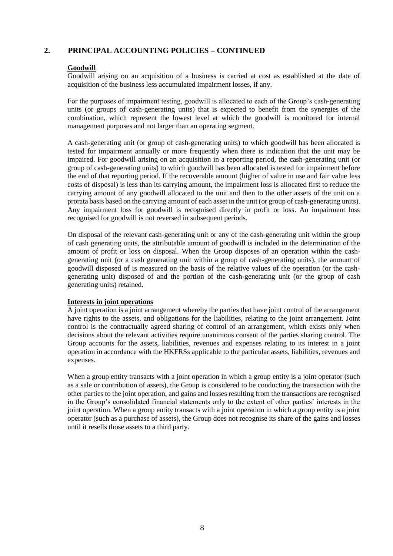#### **Goodwill**

Goodwill arising on an acquisition of a business is carried at cost as established at the date of acquisition of the business less accumulated impairment losses, if any.

For the purposes of impairment testing, goodwill is allocated to each of the Group's cash-generating units (or groups of cash-generating units) that is expected to benefit from the synergies of the combination, which represent the lowest level at which the goodwill is monitored for internal management purposes and not larger than an operating segment.

A cash-generating unit (or group of cash-generating units) to which goodwill has been allocated is tested for impairment annually or more frequently when there is indication that the unit may be impaired. For goodwill arising on an acquisition in a reporting period, the cash-generating unit (or group of cash-generating units) to which goodwill has been allocated is tested for impairment before the end of that reporting period. If the recoverable amount (higher of value in use and fair value less costs of disposal) is less than its carrying amount, the impairment loss is allocated first to reduce the carrying amount of any goodwill allocated to the unit and then to the other assets of the unit on a prorata basis based on the carrying amount of each asset in the unit (or group of cash-generating units). Any impairment loss for goodwill is recognised directly in profit or loss. An impairment loss recognised for goodwill is not reversed in subsequent periods.

On disposal of the relevant cash-generating unit or any of the cash-generating unit within the group of cash generating units, the attributable amount of goodwill is included in the determination of the amount of profit or loss on disposal. When the Group disposes of an operation within the cashgenerating unit (or a cash generating unit within a group of cash-generating units), the amount of goodwill disposed of is measured on the basis of the relative values of the operation (or the cashgenerating unit) disposed of and the portion of the cash-generating unit (or the group of cash generating units) retained.

#### **Interests in joint operations**

A joint operation is a joint arrangement whereby the parties that have joint control of the arrangement have rights to the assets, and obligations for the liabilities, relating to the joint arrangement. Joint control is the contractually agreed sharing of control of an arrangement, which exists only when decisions about the relevant activities require unanimous consent of the parties sharing control. The Group accounts for the assets, liabilities, revenues and expenses relating to its interest in a joint operation in accordance with the HKFRSs applicable to the particular assets, liabilities, revenues and expenses.

When a group entity transacts with a joint operation in which a group entity is a joint operator (such as a sale or contribution of assets), the Group is considered to be conducting the transaction with the other parties to the joint operation, and gains and losses resulting from the transactions are recognised in the Group's consolidated financial statements only to the extent of other parties' interests in the joint operation. When a group entity transacts with a joint operation in which a group entity is a joint operator (such as a purchase of assets), the Group does not recognise its share of the gains and losses until it resells those assets to a third party.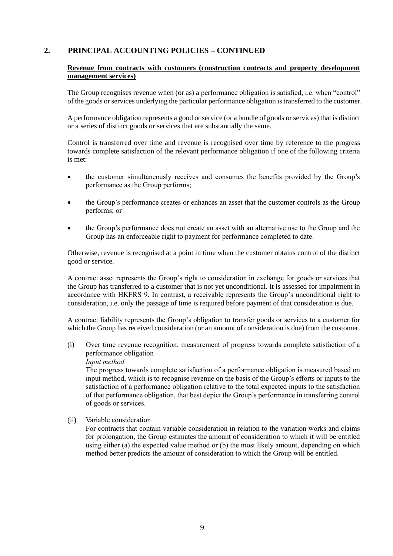#### **Revenue from contracts with customers (construction contracts and property development management services)**

The Group recognises revenue when (or as) a performance obligation is satisfied, i.e. when "control" of the goods or services underlying the particular performance obligation is transferred to the customer.

A performance obligation represents a good or service (or a bundle of goods or services) that is distinct or a series of distinct goods or services that are substantially the same.

Control is transferred over time and revenue is recognised over time by reference to the progress towards complete satisfaction of the relevant performance obligation if one of the following criteria is met:

- the customer simultaneously receives and consumes the benefits provided by the Group's performance as the Group performs;
- the Group's performance creates or enhances an asset that the customer controls as the Group performs; or
- the Group's performance does not create an asset with an alternative use to the Group and the Group has an enforceable right to payment for performance completed to date.

Otherwise, revenue is recognised at a point in time when the customer obtains control of the distinct good or service.

A contract asset represents the Group's right to consideration in exchange for goods or services that the Group has transferred to a customer that is not yet unconditional. It is assessed for impairment in accordance with HKFRS 9. In contrast, a receivable represents the Group's unconditional right to consideration, i.e. only the passage of time is required before payment of that consideration is due.

A contract liability represents the Group's obligation to transfer goods or services to a customer for which the Group has received consideration (or an amount of consideration is due) from the customer.

(i) Over time revenue recognition: measurement of progress towards complete satisfaction of a performance obligation

#### *Input method*

The progress towards complete satisfaction of a performance obligation is measured based on input method, which is to recognise revenue on the basis of the Group's efforts or inputs to the satisfaction of a performance obligation relative to the total expected inputs to the satisfaction of that performance obligation, that best depict the Group's performance in transferring control of goods or services.

(ii) Variable consideration

For contracts that contain variable consideration in relation to the variation works and claims for prolongation, the Group estimates the amount of consideration to which it will be entitled using either (a) the expected value method or (b) the most likely amount, depending on which method better predicts the amount of consideration to which the Group will be entitled.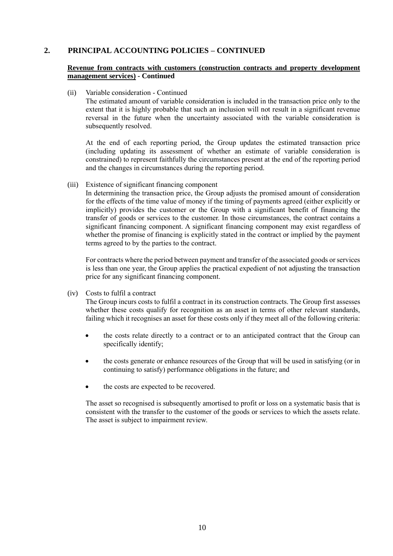#### **Revenue from contracts with customers (construction contracts and property development management services) - Continued**

(ii) Variable consideration - Continued

The estimated amount of variable consideration is included in the transaction price only to the extent that it is highly probable that such an inclusion will not result in a significant revenue reversal in the future when the uncertainty associated with the variable consideration is subsequently resolved.

At the end of each reporting period, the Group updates the estimated transaction price (including updating its assessment of whether an estimate of variable consideration is constrained) to represent faithfully the circumstances present at the end of the reporting period and the changes in circumstances during the reporting period.

(iii) Existence of significant financing component

In determining the transaction price, the Group adjusts the promised amount of consideration for the effects of the time value of money if the timing of payments agreed (either explicitly or implicitly) provides the customer or the Group with a significant benefit of financing the transfer of goods or services to the customer. In those circumstances, the contract contains a significant financing component. A significant financing component may exist regardless of whether the promise of financing is explicitly stated in the contract or implied by the payment terms agreed to by the parties to the contract.

For contracts where the period between payment and transfer of the associated goods or services is less than one year, the Group applies the practical expedient of not adjusting the transaction price for any significant financing component.

(iv) Costs to fulfil a contract

The Group incurs costs to fulfil a contract in its construction contracts. The Group first assesses whether these costs qualify for recognition as an asset in terms of other relevant standards, failing which it recognises an asset for these costs only if they meet all of the following criteria:

- the costs relate directly to a contract or to an anticipated contract that the Group can specifically identify;
- the costs generate or enhance resources of the Group that will be used in satisfying (or in continuing to satisfy) performance obligations in the future; and
- the costs are expected to be recovered.

The asset so recognised is subsequently amortised to profit or loss on a systematic basis that is consistent with the transfer to the customer of the goods or services to which the assets relate. The asset is subject to impairment review.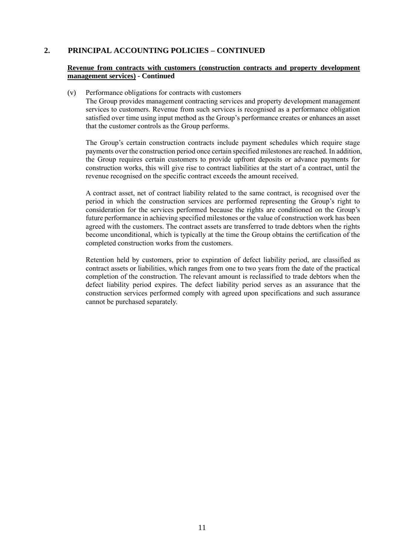#### **Revenue from contracts with customers (construction contracts and property development management services) - Continued**

(v) Performance obligations for contracts with customers

The Group provides management contracting services and property development management services to customers. Revenue from such services is recognised as a performance obligation satisfied over time using input method as the Group's performance creates or enhances an asset that the customer controls as the Group performs.

The Group's certain construction contracts include payment schedules which require stage payments over the construction period once certain specified milestones are reached. In addition, the Group requires certain customers to provide upfront deposits or advance payments for construction works, this will give rise to contract liabilities at the start of a contract, until the revenue recognised on the specific contract exceeds the amount received.

A contract asset, net of contract liability related to the same contract, is recognised over the period in which the construction services are performed representing the Group's right to consideration for the services performed because the rights are conditioned on the Group's future performance in achieving specified milestones or the value of construction work has been agreed with the customers. The contract assets are transferred to trade debtors when the rights become unconditional, which is typically at the time the Group obtains the certification of the completed construction works from the customers.

Retention held by customers, prior to expiration of defect liability period, are classified as contract assets or liabilities, which ranges from one to two years from the date of the practical completion of the construction. The relevant amount is reclassified to trade debtors when the defect liability period expires. The defect liability period serves as an assurance that the construction services performed comply with agreed upon specifications and such assurance cannot be purchased separately.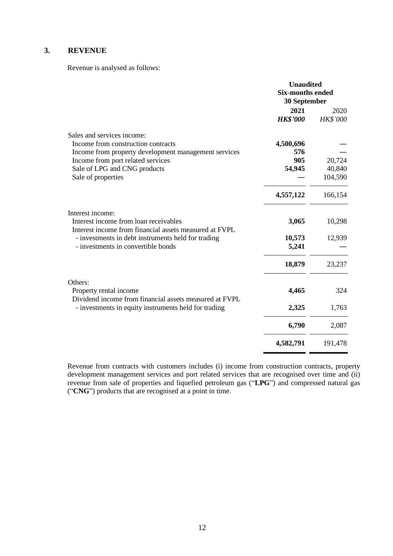## **3. REVENUE**

Revenue is analysed as follows:

|                                                                                                 | <b>Unaudited</b>        |                 |
|-------------------------------------------------------------------------------------------------|-------------------------|-----------------|
|                                                                                                 | <b>Six-months ended</b> |                 |
|                                                                                                 | 30 September            |                 |
|                                                                                                 | 2021                    | 2020            |
|                                                                                                 | <b>HK\$'000</b>         | <b>HK\$'000</b> |
| Sales and services income:                                                                      |                         |                 |
| Income from construction contracts                                                              | 4,500,696               |                 |
| Income from property development management services                                            | 576                     |                 |
| Income from port related services                                                               | 905                     | 20,724          |
| Sale of LPG and CNG products                                                                    | 54,945                  | 40,840          |
| Sale of properties                                                                              |                         | 104,590         |
|                                                                                                 | 4,557,122               | 166,154         |
| Interest income:                                                                                |                         |                 |
| Interest income from loan receivables<br>Interest income from financial assets measured at FVPL | 3,065                   | 10,298          |
| - investments in debt instruments held for trading                                              | 10,573                  | 12,939          |
| - investments in convertible bonds                                                              | 5,241                   |                 |
|                                                                                                 | 18,879                  | 23,237          |
| Others:                                                                                         |                         |                 |
| Property rental income<br>Dividend income from financial assets measured at FVPL                | 4,465                   | 324             |
| - investments in equity instruments held for trading                                            | 2,325                   | 1,763           |
|                                                                                                 | 6,790                   | 2,087           |
|                                                                                                 | 4,582,791               | 191,478         |

Revenue from contracts with customers includes (i) income from construction contracts, property development management services and port related services that are recognised over time and (ii) revenue from sale of properties and liquefied petroleum gas ("**LPG**") and compressed natural gas ("**CNG**") products that are recognised at a point in time.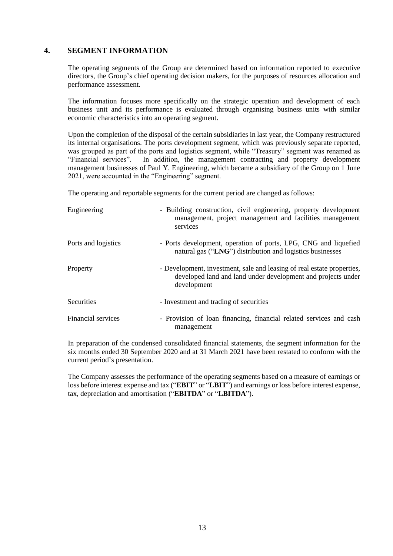### **4. SEGMENT INFORMATION**

The operating segments of the Group are determined based on information reported to executive directors, the Group's chief operating decision makers, for the purposes of resources allocation and performance assessment.

The information focuses more specifically on the strategic operation and development of each business unit and its performance is evaluated through organising business units with similar economic characteristics into an operating segment.

Upon the completion of the disposal of the certain subsidiaries in last year, the Company restructured its internal organisations. The ports development segment, which was previously separate reported, was grouped as part of the ports and logistics segment, while "Treasury" segment was renamed as "Financial services". In addition, the management contracting and property development management businesses of Paul Y. Engineering, which became a subsidiary of the Group on 1 June 2021, were accounted in the "Engineering" segment.

The operating and reportable segments for the current period are changed as follows:

| Engineering         | - Building construction, civil engineering, property development<br>management, project management and facilities management<br>services              |
|---------------------|-------------------------------------------------------------------------------------------------------------------------------------------------------|
| Ports and logistics | - Ports development, operation of ports, LPG, CNG and liquefied<br>natural gas ("LNG") distribution and logistics businesses                          |
| Property            | - Development, investment, sale and leasing of real estate properties,<br>developed land and land under development and projects under<br>development |
| Securities          | - Investment and trading of securities                                                                                                                |
| Financial services  | - Provision of loan financing, financial related services and cash<br>management                                                                      |

In preparation of the condensed consolidated financial statements, the segment information for the six months ended 30 September 2020 and at 31 March 2021 have been restated to conform with the current period's presentation.

The Company assesses the performance of the operating segments based on a measure of earnings or loss before interest expense and tax ("**EBIT**" or "LBIT") and earnings or loss before interest expense, tax, depreciation and amortisation ("**EBITDA**" or "**LBITDA**").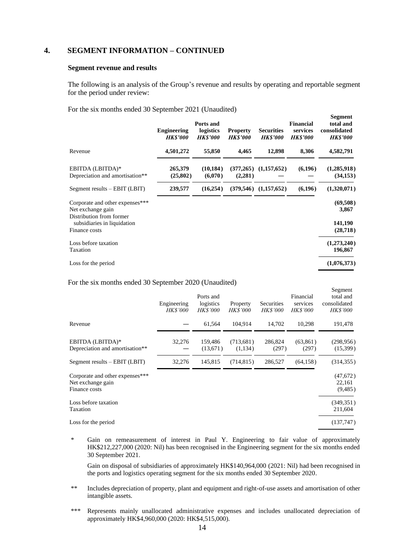### **4. SEGMENT INFORMATION – CONTINUED**

#### **Segment revenue and results**

The following is an analysis of the Group's revenue and results by operating and reportable segment for the period under review:

**Segment**

For the six months ended 30 September 2021 (Unaudited)

|                                                                                  | <b>Engineering</b><br><b>HK\$'000</b> | Ports and<br>logistics<br><b>HKS'000</b> | <b>Property</b><br><b>HKS'000</b> | <b>Securities</b><br><b>HKS'000</b> | <b>Financial</b><br>services<br><b>HK\$'000</b> | эедшені<br>total and<br>consolidated<br><b>HKS'000</b> |
|----------------------------------------------------------------------------------|---------------------------------------|------------------------------------------|-----------------------------------|-------------------------------------|-------------------------------------------------|--------------------------------------------------------|
| Revenue                                                                          | 4,501,272                             | 55,850                                   | 4,465                             | 12,898                              | 8,306                                           | 4,582,791                                              |
| EBITDA (LBITDA)*<br>Depreciation and amortisation**                              | 265,379<br>(25,802)                   | (10, 184)<br>(6,070)                     | (377, 265)<br>(2,281)             | (1,157,652)                         | (6,196)                                         | (1,285,918)<br>(34, 153)                               |
| $Segment$ results $-$ EBIT (LBIT)                                                | 239,577                               | (16,254)                                 |                                   | $(379,546)$ $(1,157,652)$           | (6, 196)                                        | (1,320,071)                                            |
| Corporate and other expenses***<br>Net exchange gain<br>Distribution from former |                                       |                                          |                                   |                                     |                                                 | (69,508)<br>3,867                                      |
| subsidiaries in liquidation<br>Finance costs                                     |                                       |                                          |                                   |                                     |                                                 | 141,190<br>(28, 718)                                   |
| Loss before taxation<br>Taxation                                                 |                                       |                                          |                                   |                                     |                                                 | (1,273,240)<br>196,867                                 |
| Loss for the period                                                              |                                       |                                          |                                   |                                     |                                                 | (1,076,373)                                            |

For the six months ended 30 September 2020 (Unaudited)

|                                                                       | Engineering<br><i>HK\$'000</i> | Ports and<br>logistics<br><i>HK\$'000</i> | Property<br><i>HK\$'000</i> | Securities<br><i>HK\$'000</i> | Financial<br>services<br><i>HK\$'000</i> | Segment<br>total and<br>consolidated<br><b>HK\$'000</b> |
|-----------------------------------------------------------------------|--------------------------------|-------------------------------------------|-----------------------------|-------------------------------|------------------------------------------|---------------------------------------------------------|
| Revenue                                                               |                                | 61,564                                    | 104,914                     | 14,702                        | 10,298                                   | 191,478                                                 |
| EBITDA (LBITDA)*<br>Depreciation and amortisation**                   | 32,276                         | 159,486<br>(13,671)                       | (713,681)<br>(1,134)        | 286,824<br>(297)              | (63,861)<br>(297)                        | (298, 956)<br>(15,399)                                  |
| Segment results $-$ EBIT (LBIT)                                       | 32,276                         | 145,815                                   | (714, 815)                  | 286,527                       | (64, 158)                                | (314, 355)                                              |
| Corporate and other expenses***<br>Net exchange gain<br>Finance costs |                                |                                           |                             |                               |                                          | (47,672)<br>22,161<br>(9, 485)                          |
| Loss before taxation<br>Taxation                                      |                                |                                           |                             |                               |                                          | (349, 351)<br>211,604                                   |
| Loss for the period                                                   |                                |                                           |                             |                               |                                          | (137, 747)                                              |

\* Gain on remeasurement of interest in Paul Y. Engineering to fair value of approximately HK\$212,227,000 (2020: Nil) has been recognised in the Engineering segment for the six months ended 30 September 2021.

Gain on disposal of subsidiaries of approximately HK\$140,964,000 (2021: Nil) had been recognised in the ports and logistics operating segment for the six months ended 30 September 2020.

- \*\* Includes depreciation of property, plant and equipment and right-of-use assets and amortisation of other intangible assets.
- \*\*\* Represents mainly unallocated administrative expenses and includes unallocated depreciation of approximately HK\$4,960,000 (2020: HK\$4,515,000).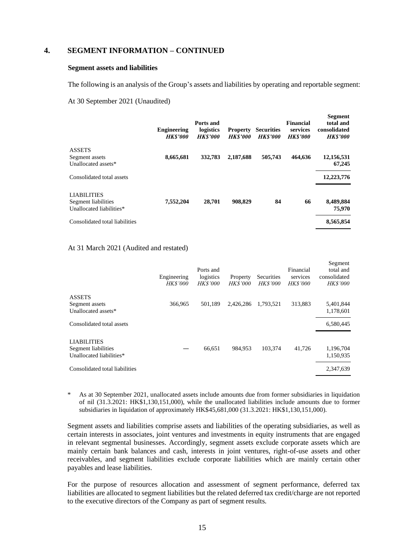#### **4. SEGMENT INFORMATION – CONTINUED**

#### **Segment assets and liabilities**

The following is an analysis of the Group's assets and liabilities by operating and reportable segment:

#### At 30 September 2021 (Unaudited)

|                                                                       | <b>Engineering</b><br><b>HKS'000</b> | Ports and<br>logistics<br><b>HKS'000</b> | <b>Property</b><br><b>HK\$'000</b> | <b>Securities</b><br><b>HKS'000</b> | <b>Financial</b><br>services<br><b>HK\$'000</b> | <b>Segment</b><br>total and<br>consolidated<br><b>HK\$'000</b> |
|-----------------------------------------------------------------------|--------------------------------------|------------------------------------------|------------------------------------|-------------------------------------|-------------------------------------------------|----------------------------------------------------------------|
| <b>ASSETS</b><br>Segment assets<br>Unallocated assets*                | 8,665,681                            | 332,783                                  | 2,187,688                          | 505,743                             | 464.636                                         | 12,156,531<br>67,245                                           |
| Consolidated total assets                                             |                                      |                                          |                                    |                                     |                                                 | 12,223,776                                                     |
| <b>LIABILITIES</b><br>Segment liabilities<br>Unallocated liabilities* | 7,552,204                            | 28,701                                   | 908,829                            | 84                                  | 66                                              | 8,489,884<br>75,970                                            |
| Consolidated total liabilities                                        |                                      |                                          |                                    |                                     |                                                 | 8,565,854                                                      |

#### At 31 March 2021 (Audited and restated)

|                                                                       | Engineering<br><b>HK\$'000</b> | Ports and<br>logistics<br><b>HK\$'000</b> | Property<br><i>HK\$'000</i> | Securities<br><b>HK\$'000</b> | Financial<br>services<br><b>HK\$'000</b> | Segment<br>total and<br>consolidated<br><b>HK\$'000</b> |
|-----------------------------------------------------------------------|--------------------------------|-------------------------------------------|-----------------------------|-------------------------------|------------------------------------------|---------------------------------------------------------|
| <b>ASSETS</b><br>Segment assets<br>Unallocated assets*                | 366,965                        | 501.189                                   | 2,426,286                   | 1.793.521                     | 313,883                                  | 5,401,844<br>1,178,601                                  |
| Consolidated total assets                                             |                                |                                           |                             |                               |                                          | 6,580,445                                               |
| <b>LIABILITIES</b><br>Segment liabilities<br>Unallocated liabilities* |                                | 66,651                                    | 984.953                     | 103,374                       | 41,726                                   | 1,196,704<br>1,150,935                                  |
| Consolidated total liabilities                                        |                                |                                           |                             |                               |                                          | 2,347,639                                               |

\* As at 30 September 2021, unallocated assets include amounts due from former subsidiaries in liquidation of nil (31.3.2021: HK\$1,130,151,000), while the unallocated liabilities include amounts due to former subsidiaries in liquidation of approximately HK\$45,681,000 (31.3.2021: HK\$1,130,151,000).

Segment assets and liabilities comprise assets and liabilities of the operating subsidiaries, as well as certain interests in associates, joint ventures and investments in equity instruments that are engaged in relevant segmental businesses. Accordingly, segment assets exclude corporate assets which are mainly certain bank balances and cash, interests in joint ventures, right-of-use assets and other receivables, and segment liabilities exclude corporate liabilities which are mainly certain other payables and lease liabilities.

For the purpose of resources allocation and assessment of segment performance, deferred tax liabilities are allocated to segment liabilities but the related deferred tax credit/charge are not reported to the executive directors of the Company as part of segment results.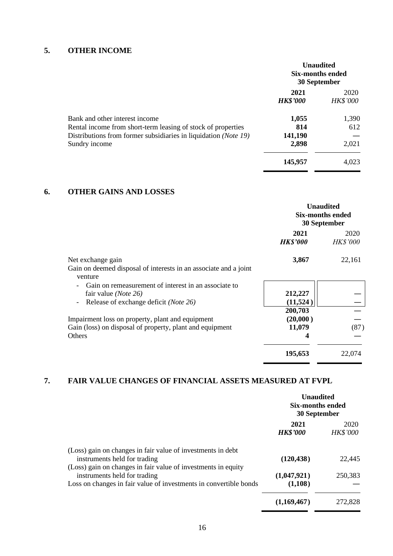# **5. OTHER INCOME**

|                                                                                                | <b>Unaudited</b><br>Six-months ended<br>30 September |                         |
|------------------------------------------------------------------------------------------------|------------------------------------------------------|-------------------------|
|                                                                                                | 2021<br><b>HK\$'000</b>                              | 2020<br><b>HK\$'000</b> |
| Bank and other interest income<br>Rental income from short-term leasing of stock of properties | 1,055<br>814                                         | 1,390<br>612            |
| Distributions from former subsidiaries in liquidation (Note 19)<br>Sundry income               | 141,190<br>2,898                                     | 2,021                   |
|                                                                                                | 145,957                                              | 4,023                   |

## **6. OTHER GAINS AND LOSSES**

|                                                                                                                                        | <b>Unaudited</b><br><b>Six-months ended</b><br>30 September |                         |
|----------------------------------------------------------------------------------------------------------------------------------------|-------------------------------------------------------------|-------------------------|
|                                                                                                                                        | 2021<br><b>HK\$'000</b>                                     | 2020<br><b>HK\$'000</b> |
| Net exchange gain<br>Gain on deemed disposal of interests in an associate and a joint<br>venture                                       | 3,867                                                       | 22,161                  |
| Gain on remeasurement of interest in an associate to<br>fair value ( <i>Note</i> 26)<br>Release of exchange deficit ( <i>Note 26</i> ) | 212,227<br>(11, 524)                                        |                         |
| Impairment loss on property, plant and equipment<br>Gain (loss) on disposal of property, plant and equipment<br>Others                 | 200,703<br>(20,000)<br>11,079<br>4                          | (87)                    |
|                                                                                                                                        | 195,653                                                     | 22,074                  |

# **7. FAIR VALUE CHANGES OF FINANCIAL ASSETS MEASURED AT FVPL**

|                                                                                                                                                                    | <b>Unaudited</b><br>Six-months ended<br>30 September |                         |
|--------------------------------------------------------------------------------------------------------------------------------------------------------------------|------------------------------------------------------|-------------------------|
|                                                                                                                                                                    | 2021<br><b>HK\$'000</b>                              | 2020<br><b>HK\$'000</b> |
| (Loss) gain on changes in fair value of investments in debt<br>instruments held for trading                                                                        | (120, 438)                                           | 22,445                  |
| (Loss) gain on changes in fair value of investments in equity<br>instruments held for trading<br>Loss on changes in fair value of investments in convertible bonds | (1,047,921)<br>(1,108)                               | 250,383                 |
|                                                                                                                                                                    | (1,169,467)                                          | 272,828                 |

- -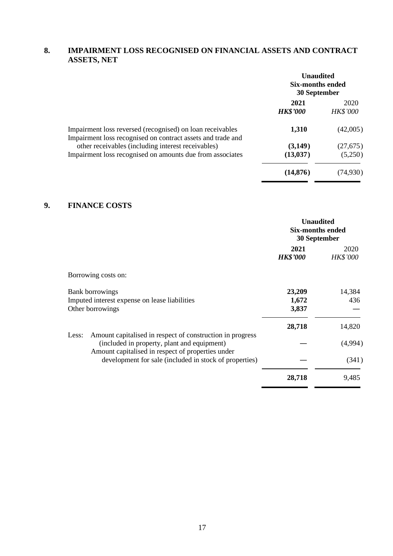## **8. IMPAIRMENT LOSS RECOGNISED ON FINANCIAL ASSETS AND CONTRACT ASSETS, NET**

|                                                                                                                          | <b>Unaudited</b><br>Six-months ended<br>30 September |                         |
|--------------------------------------------------------------------------------------------------------------------------|------------------------------------------------------|-------------------------|
|                                                                                                                          | 2021<br><b>HK\$'000</b>                              | 2020<br><b>HK\$'000</b> |
| Impairment loss reversed (recognised) on loan receivables<br>Impairment loss recognised on contract assets and trade and | 1,310                                                | (42,005)                |
| other receivables (including interest receivables)                                                                       | (3,149)                                              | (27, 675)               |
| Impairment loss recognised on amounts due from associates                                                                | (13, 037)                                            | (5,250)                 |
|                                                                                                                          | (14, 876)                                            | (74,930)                |

### **9. FINANCE COSTS**

|                                                                                                                   | <b>Unaudited</b><br><b>Six-months ended</b><br>30 September |                         |
|-------------------------------------------------------------------------------------------------------------------|-------------------------------------------------------------|-------------------------|
|                                                                                                                   | 2021<br><b>HK\$'000</b>                                     | 2020<br><b>HK\$'000</b> |
| Borrowing costs on:                                                                                               |                                                             |                         |
| <b>Bank borrowings</b><br>Imputed interest expense on lease liabilities<br>Other borrowings                       | 23,209<br>1,672<br>3,837                                    | 14,384<br>436           |
| Amount capitalised in respect of construction in progress<br>Less:<br>(included in property, plant and equipment) | 28,718                                                      | 14,820<br>(4,994)       |
| Amount capitalised in respect of properties under<br>development for sale (included in stock of properties)       |                                                             | (341)                   |
|                                                                                                                   | 28,718                                                      | 9,485                   |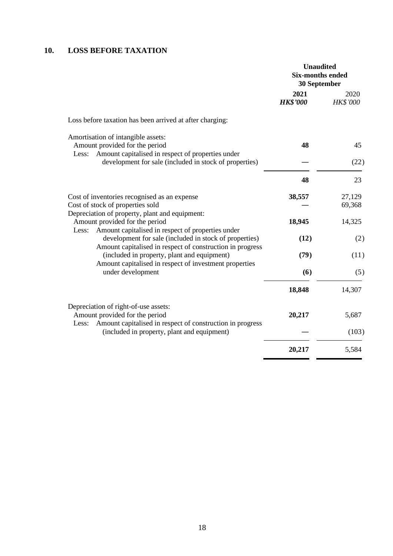## **10. LOSS BEFORE TAXATION**

|                                                                                                                                                                    | <b>Unaudited</b><br><b>Six-months ended</b><br>30 September |                         |
|--------------------------------------------------------------------------------------------------------------------------------------------------------------------|-------------------------------------------------------------|-------------------------|
|                                                                                                                                                                    | 2021<br><b>HK\$'000</b>                                     | 2020<br><b>HK\$'000</b> |
| Loss before taxation has been arrived at after charging:                                                                                                           |                                                             |                         |
| Amortisation of intangible assets:<br>Amount provided for the period<br>Amount capitalised in respect of properties under<br>Less:                                 | 48                                                          | 45                      |
| development for sale (included in stock of properties)                                                                                                             |                                                             | (22)                    |
|                                                                                                                                                                    | 48                                                          | 23                      |
| Cost of inventories recognised as an expense<br>Cost of stock of properties sold                                                                                   | 38,557                                                      | 27,129<br>69,368        |
| Depreciation of property, plant and equipment:<br>Amount provided for the period<br>Amount capitalised in respect of properties under<br>Less:                     | 18,945                                                      | 14,325                  |
| development for sale (included in stock of properties)                                                                                                             | (12)                                                        | (2)                     |
| Amount capitalised in respect of construction in progress<br>(included in property, plant and equipment)<br>Amount capitalised in respect of investment properties | (79)                                                        | (11)                    |
| under development                                                                                                                                                  | (6)                                                         | (5)                     |
|                                                                                                                                                                    | 18,848                                                      | 14,307                  |
| Depreciation of right-of-use assets:<br>Amount provided for the period                                                                                             | 20,217                                                      | 5,687                   |
| Amount capitalised in respect of construction in progress<br>Less:<br>(included in property, plant and equipment)                                                  |                                                             | (103)                   |
|                                                                                                                                                                    | 20,217                                                      | 5,584                   |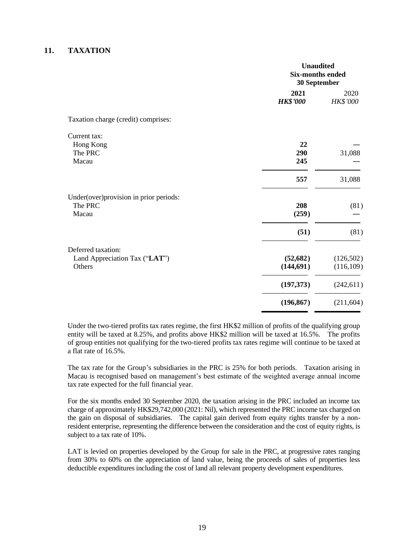#### **11. TAXATION**

|                                         | <b>Unaudited</b><br><b>Six-months ended</b><br>30 September |                  |
|-----------------------------------------|-------------------------------------------------------------|------------------|
|                                         | 2021<br><b>HK\$'000</b>                                     | 2020<br>HK\$'000 |
| Taxation charge (credit) comprises:     |                                                             |                  |
| Current tax:                            |                                                             |                  |
| Hong Kong                               | 22                                                          |                  |
| The PRC                                 | 290                                                         | 31,088           |
| Macau                                   | 245                                                         |                  |
|                                         | 557                                                         | 31,088           |
| Under(over) provision in prior periods: |                                                             |                  |
| The PRC                                 | 208                                                         | (81)             |
| Macau                                   | (259)                                                       |                  |
|                                         | (51)                                                        | (81)             |
| Deferred taxation:                      |                                                             |                  |
| Land Appreciation Tax ("LAT")           | (52, 682)                                                   | (126,502)        |
| Others                                  | (144, 691)                                                  | (116,109)        |
|                                         | (197,373)                                                   | (242, 611)       |
|                                         | (196, 867)                                                  | (211, 604)       |

Under the two-tiered profits tax rates regime, the first HK\$2 million of profits of the qualifying group entity will be taxed at 8.25%, and profits above HK\$2 million will be taxed at 16.5%. The profits of group entities not qualifying for the two-tiered profits tax rates regime will continue to be taxed at a flat rate of 16.5%.

The tax rate for the Group's subsidiaries in the PRC is 25% for both periods. Taxation arising in Macau is recognised based on management's best estimate of the weighted average annual income tax rate expected for the full financial year.

For the six months ended 30 September 2020, the taxation arising in the PRC included an income tax charge of approximately HK\$29,742,000 (2021: Nil), which represented the PRC income tax charged on the gain on disposal of subsidiaries. The capital gain derived from equity rights transfer by a nonresident enterprise, representing the difference between the consideration and the cost of equity rights, is subject to a tax rate of 10%.

LAT is levied on properties developed by the Group for sale in the PRC, at progressive rates ranging from 30% to 60% on the appreciation of land value, being the proceeds of sales of properties less deductible expenditures including the cost of land all relevant property development expenditures.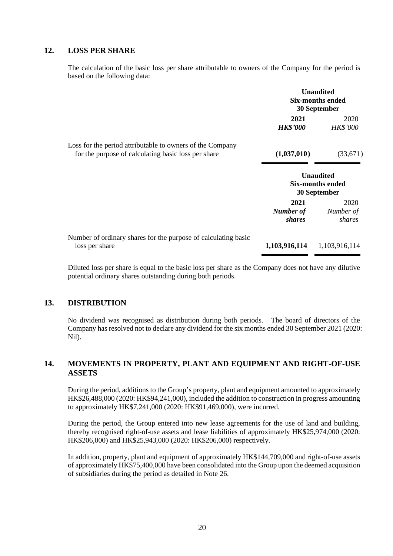#### **12. LOSS PER SHARE**

The calculation of the basic loss per share attributable to owners of the Company for the period is based on the following data:

|                                                                                                                  | <b>Unaudited</b><br><b>Six-months ended</b><br>30 September |                                                             |
|------------------------------------------------------------------------------------------------------------------|-------------------------------------------------------------|-------------------------------------------------------------|
|                                                                                                                  | 2021<br><b>HK\$'000</b>                                     | 2020<br><b>HK\$'000</b>                                     |
| Loss for the period attributable to owners of the Company<br>for the purpose of calculating basic loss per share | (1,037,010)                                                 | (33,671)                                                    |
|                                                                                                                  |                                                             | <b>Unaudited</b><br><b>Six-months ended</b><br>30 September |
|                                                                                                                  | 2021<br>Number of<br>shares                                 | 2020<br>Number of<br>shares                                 |
| Number of ordinary shares for the purpose of calculating basic<br>loss per share                                 | 1,103,916,114                                               | 1,103,916,114                                               |

Diluted loss per share is equal to the basic loss per share as the Company does not have any dilutive potential ordinary shares outstanding during both periods.

### **13. DISTRIBUTION**

No dividend was recognised as distribution during both periods. The board of directors of the Company has resolved not to declare any dividend for the six months ended 30 September 2021 (2020: Nil).

## **14. MOVEMENTS IN PROPERTY, PLANT AND EQUIPMENT AND RIGHT-OF-USE ASSETS**

During the period, additions to the Group's property, plant and equipment amounted to approximately HK\$26,488,000 (2020: HK\$94,241,000), included the addition to construction in progress amounting to approximately HK\$7,241,000 (2020: HK\$91,469,000), were incurred.

During the period, the Group entered into new lease agreements for the use of land and building, thereby recognised right-of-use assets and lease liabilities of approximately HK\$25,974,000 (2020: HK\$206,000) and HK\$25,943,000 (2020: HK\$206,000) respectively.

In addition, property, plant and equipment of approximately HK\$144,709,000 and right-of-use assets of approximately HK\$75,400,000 have been consolidated into the Group upon the deemed acquisition of subsidiaries during the period as detailed in Note 26.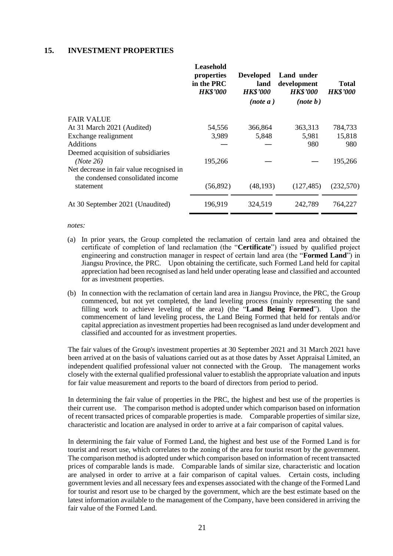#### **15. INVESTMENT PROPERTIES**

|                                                                                             | Leasehold<br>properties<br>in the PRC<br><b>HK\$'000</b> | <b>Developed</b><br>land<br><b>HK\$'000</b><br>(note a) | Land under<br>development<br><b>HK\$'000</b><br>(note b) | <b>Total</b><br><b>HK\$'000</b> |
|---------------------------------------------------------------------------------------------|----------------------------------------------------------|---------------------------------------------------------|----------------------------------------------------------|---------------------------------|
| <b>FAIR VALUE</b>                                                                           |                                                          |                                                         |                                                          |                                 |
| At 31 March 2021 (Audited)                                                                  | 54,556                                                   | 366,864                                                 | 363,313                                                  | 784,733                         |
| Exchange realignment                                                                        | 3,989                                                    | 5,848                                                   | 5,981                                                    | 15,818                          |
| <b>Additions</b>                                                                            |                                                          |                                                         | 980                                                      | 980                             |
| Deemed acquisition of subsidiaries<br>(Note 26)<br>Net decrease in fair value recognised in | 195,266                                                  |                                                         |                                                          | 195,266                         |
| the condensed consolidated income<br>statement                                              | (56, 892)                                                | (48, 193)                                               | (127, 485)                                               | (232,570)                       |
| At 30 September 2021 (Unaudited)                                                            | 196,919                                                  | 324,519                                                 | 242,789                                                  | 764,227                         |
|                                                                                             |                                                          |                                                         |                                                          |                                 |

*notes:* 

- (a) In prior years, the Group completed the reclamation of certain land area and obtained the certificate of completion of land reclamation (the "**Certificate**") issued by qualified project engineering and construction manager in respect of certain land area (the "**Formed Land**") in Jiangsu Province, the PRC. Upon obtaining the certificate, such Formed Land held for capital appreciation had been recognised as land held under operating lease and classified and accounted for as investment properties.
- (b) In connection with the reclamation of certain land area in Jiangsu Province, the PRC, the Group commenced, but not yet completed, the land leveling process (mainly representing the sand filling work to achieve leveling of the area) (the "**Land Being Formed**"). Upon the commencement of land leveling process, the Land Being Formed that held for rentals and/or capital appreciation as investment properties had been recognised as land under development and classified and accounted for as investment properties.

The fair values of the Group's investment properties at 30 September 2021 and 31 March 2021 have been arrived at on the basis of valuations carried out as at those dates by Asset Appraisal Limited, an independent qualified professional valuer not connected with the Group. The management works closely with the external qualified professional valuer to establish the appropriate valuation and inputs for fair value measurement and reports to the board of directors from period to period.

In determining the fair value of properties in the PRC, the highest and best use of the properties is their current use. The comparison method is adopted under which comparison based on information of recent transacted prices of comparable properties is made. Comparable properties of similar size, characteristic and location are analysed in order to arrive at a fair comparison of capital values.

In determining the fair value of Formed Land, the highest and best use of the Formed Land is for tourist and resort use, which correlates to the zoning of the area for tourist resort by the government. The comparison method is adopted under which comparison based on information of recent transacted prices of comparable lands is made. Comparable lands of similar size, characteristic and location are analysed in order to arrive at a fair comparison of capital values. Certain costs, including government levies and all necessary fees and expenses associated with the change of the Formed Land for tourist and resort use to be charged by the government, which are the best estimate based on the latest information available to the management of the Company, have been considered in arriving the fair value of the Formed Land.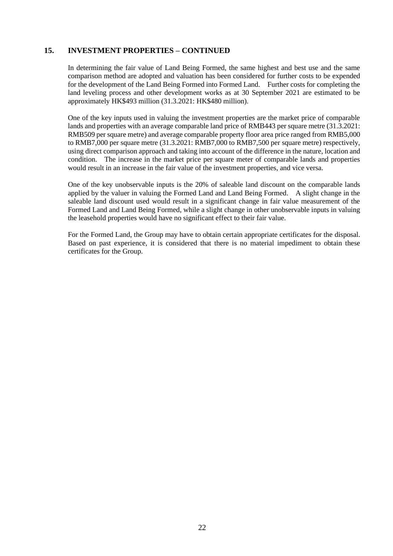### **15. INVESTMENT PROPERTIES – CONTINUED**

In determining the fair value of Land Being Formed, the same highest and best use and the same comparison method are adopted and valuation has been considered for further costs to be expended for the development of the Land Being Formed into Formed Land. Further costs for completing the land leveling process and other development works as at 30 September 2021 are estimated to be approximately HK\$493 million (31.3.2021: HK\$480 million).

One of the key inputs used in valuing the investment properties are the market price of comparable lands and properties with an average comparable land price of RMB443 per square metre (31.3.2021: RMB509 per square metre) and average comparable property floor area price ranged from RMB5,000 to RMB7,000 per square metre (31.3.2021: RMB7,000 to RMB7,500 per square metre) respectively, using direct comparison approach and taking into account of the difference in the nature, location and condition. The increase in the market price per square meter of comparable lands and properties would result in an increase in the fair value of the investment properties, and vice versa.

One of the key unobservable inputs is the 20% of saleable land discount on the comparable lands applied by the valuer in valuing the Formed Land and Land Being Formed. A slight change in the saleable land discount used would result in a significant change in fair value measurement of the Formed Land and Land Being Formed, while a slight change in other unobservable inputs in valuing the leasehold properties would have no significant effect to their fair value.

For the Formed Land, the Group may have to obtain certain appropriate certificates for the disposal. Based on past experience, it is considered that there is no material impediment to obtain these certificates for the Group.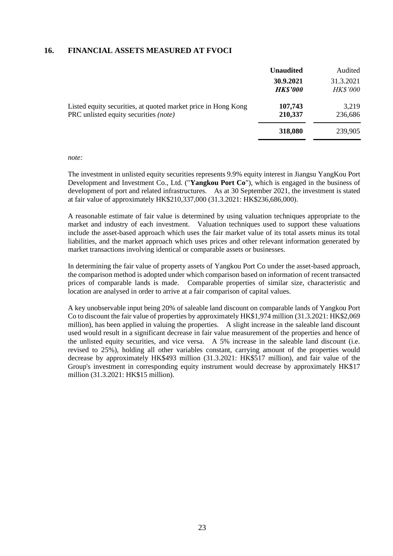#### **16. FINANCIAL ASSETS MEASURED AT FVOCI**

|                                                                                                               | <b>Unaudited</b>             | Audited                      |
|---------------------------------------------------------------------------------------------------------------|------------------------------|------------------------------|
|                                                                                                               | 30.9.2021<br><b>HK\$'000</b> | 31.3.2021<br><b>HK\$'000</b> |
| Listed equity securities, at quoted market price in Hong Kong<br>PRC unlisted equity securities <i>(note)</i> | 107,743<br>210,337           | 3,219<br>236,686             |
|                                                                                                               | 318,080                      | 239,905                      |

#### *note:*

The investment in unlisted equity securities represents 9.9% equity interest in Jiangsu YangKou Port Development and Investment Co., Ltd. ("**Yangkou Port Co**"), which is engaged in the business of development of port and related infrastructures. As at 30 September 2021, the investment is stated at fair value of approximately HK\$210,337,000 (31.3.2021: HK\$236,686,000).

A reasonable estimate of fair value is determined by using valuation techniques appropriate to the market and industry of each investment. Valuation techniques used to support these valuations include the asset-based approach which uses the fair market value of its total assets minus its total liabilities, and the market approach which uses prices and other relevant information generated by market transactions involving identical or comparable assets or businesses.

In determining the fair value of property assets of Yangkou Port Co under the asset-based approach, the comparison method is adopted under which comparison based on information of recent transacted prices of comparable lands is made. Comparable properties of similar size, characteristic and location are analysed in order to arrive at a fair comparison of capital values.

A key unobservable input being 20% of saleable land discount on comparable lands of Yangkou Port Co to discount the fair value of properties by approximately HK\$1,974 million (31.3.2021: HK\$2,069 million), has been applied in valuing the properties. A slight increase in the saleable land discount used would result in a significant decrease in fair value measurement of the properties and hence of the unlisted equity securities, and vice versa. A 5% increase in the saleable land discount (i.e. revised to 25%), holding all other variables constant, carrying amount of the properties would decrease by approximately HK\$493 million (31.3.2021: HK\$517 million), and fair value of the Group's investment in corresponding equity instrument would decrease by approximately HK\$17 million (31.3.2021: HK\$15 million).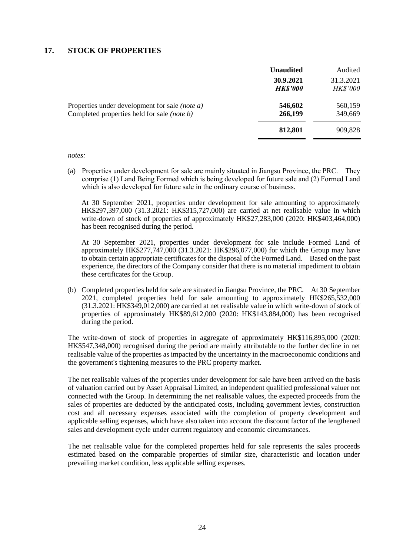#### **17. STOCK OF PROPERTIES**

|                                                                                                             | <b>Unaudited</b>             | Audited                      |
|-------------------------------------------------------------------------------------------------------------|------------------------------|------------------------------|
|                                                                                                             | 30.9.2021<br><b>HK\$'000</b> | 31.3.2021<br><b>HK\$'000</b> |
| Properties under development for sale <i>(note a)</i><br>Completed properties held for sale <i>(note b)</i> | 546,602<br>266,199           | 560,159<br>349,669           |
|                                                                                                             | 812,801                      | 909,828                      |

*notes:*

(a) Properties under development for sale are mainly situated in Jiangsu Province, the PRC. They comprise (1) Land Being Formed which is being developed for future sale and (2) Formed Land which is also developed for future sale in the ordinary course of business.

At 30 September 2021, properties under development for sale amounting to approximately HK\$297,397,000 (31.3.2021: HK\$315,727,000) are carried at net realisable value in which write-down of stock of properties of approximately HK\$27,283,000 (2020: HK\$403,464,000) has been recognised during the period.

At 30 September 2021, properties under development for sale include Formed Land of approximately HK\$277,747,000 (31.3.2021: HK\$296,077,000) for which the Group may have to obtain certain appropriate certificates for the disposal of the Formed Land. Based on the past experience, the directors of the Company consider that there is no material impediment to obtain these certificates for the Group.

(b) Completed properties held for sale are situated in Jiangsu Province, the PRC. At 30 September 2021, completed properties held for sale amounting to approximately HK\$265,532,000 (31.3.2021: HK\$349,012,000) are carried at net realisable value in which write-down of stock of properties of approximately HK\$89,612,000 (2020: HK\$143,884,000) has been recognised during the period.

The write-down of stock of properties in aggregate of approximately HK\$116,895,000 (2020: HK\$547,348,000) recognised during the period are mainly attributable to the further decline in net realisable value of the properties as impacted by the uncertainty in the macroeconomic conditions and the government's tightening measures to the PRC property market.

The net realisable values of the properties under development for sale have been arrived on the basis of valuation carried out by Asset Appraisal Limited, an independent qualified professional valuer not connected with the Group. In determining the net realisable values, the expected proceeds from the sales of properties are deducted by the anticipated costs, including government levies, construction cost and all necessary expenses associated with the completion of property development and applicable selling expenses, which have also taken into account the discount factor of the lengthened sales and development cycle under current regulatory and economic circumstances.

The net realisable value for the completed properties held for sale represents the sales proceeds estimated based on the comparable properties of similar size, characteristic and location under prevailing market condition, less applicable selling expenses.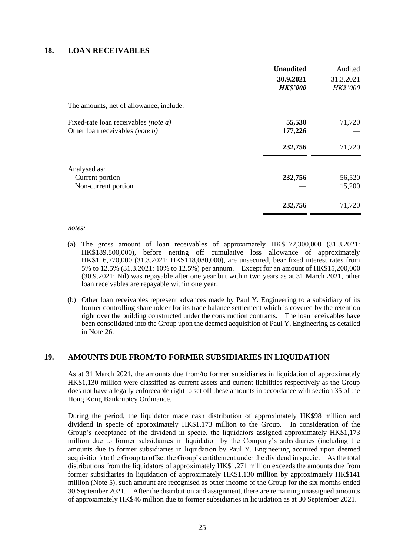#### **18. LOAN RECEIVABLES**

|                                                                         | <b>Unaudited</b><br>30.9.2021<br><b>HK\$'000</b> | Audited<br>31.3.2021<br><b>HK\$'000</b> |
|-------------------------------------------------------------------------|--------------------------------------------------|-----------------------------------------|
| The amounts, net of allowance, include:                                 |                                                  |                                         |
| Fixed-rate loan receivables (note a)<br>Other loan receivables (note b) | 55,530<br>177,226                                | 71,720                                  |
|                                                                         | 232,756                                          | 71,720                                  |
| Analysed as:<br>Current portion<br>Non-current portion                  | 232,756                                          | 56,520<br>15,200                        |
|                                                                         | 232,756                                          | 71,720                                  |

*notes:*

- (a) The gross amount of loan receivables of approximately HK\$172,300,000 (31.3.2021: HK\$189,800,000), before netting off cumulative loss allowance of approximately HK\$116,770,000 (31.3.2021: HK\$118,080,000), are unsecured, bear fixed interest rates from 5% to 12.5% (31.3.2021: 10% to 12.5%) per annum. Except for an amount of HK\$15,200,000 (30.9.2021: Nil) was repayable after one year but within two years as at 31 March 2021, other loan receivables are repayable within one year.
- (b) Other loan receivables represent advances made by Paul Y. Engineering to a subsidiary of its former controlling shareholder for its trade balance settlement which is covered by the retention right over the building constructed under the construction contracts. The loan receivables have been consolidated into the Group upon the deemed acquisition of Paul Y. Engineering as detailed in Note 26.

### **19. AMOUNTS DUE FROM/TO FORMER SUBSIDIARIES IN LIQUIDATION**

As at 31 March 2021, the amounts due from/to former subsidiaries in liquidation of approximately HK\$1,130 million were classified as current assets and current liabilities respectively as the Group does not have a legally enforceable right to set off these amounts in accordance with section 35 of the Hong Kong Bankruptcy Ordinance.

During the period, the liquidator made cash distribution of approximately HK\$98 million and dividend in specie of approximately HK\$1,173 million to the Group. In consideration of the Group's acceptance of the dividend in specie, the liquidators assigned approximately HK\$1,173 million due to former subsidiaries in liquidation by the Company's subsidiaries (including the amounts due to former subsidiaries in liquidation by Paul Y. Engineering acquired upon deemed acquisition) to the Group to offset the Group's entitlement under the dividend in specie. As the total distributions from the liquidators of approximately HK\$1,271 million exceeds the amounts due from former subsidiaries in liquidation of approximately HK\$1,130 million by approximately HK\$141 million (Note 5), such amount are recognised as other income of the Group for the six months ended 30 September 2021. After the distribution and assignment, there are remaining unassigned amounts of approximately HK\$46 million due to former subsidiaries in liquidation as at 30 September 2021.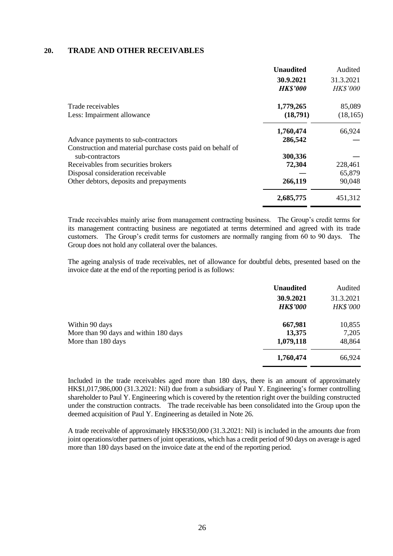#### **20. TRADE AND OTHER RECEIVABLES**

|                                                            | <b>Unaudited</b>             | Audited                      |
|------------------------------------------------------------|------------------------------|------------------------------|
|                                                            | 30.9.2021<br><b>HK\$'000</b> | 31.3.2021<br><b>HK\$'000</b> |
| Trade receivables                                          | 1,779,265                    | 85,089                       |
| Less: Impairment allowance                                 | (18,791)                     | (18, 165)                    |
|                                                            | 1,760,474                    | 66,924                       |
| Advance payments to sub-contractors                        | 286,542                      |                              |
| Construction and material purchase costs paid on behalf of |                              |                              |
| sub-contractors                                            | 300,336                      |                              |
| Receivables from securities brokers                        | 72,304                       | 228,461                      |
| Disposal consideration receivable                          |                              | 65,879                       |
| Other debtors, deposits and prepayments                    | 266,119                      | 90,048                       |
|                                                            | 2,685,775                    | 451,312                      |

Trade receivables mainly arise from management contracting business. The Group's credit terms for its management contracting business are negotiated at terms determined and agreed with its trade customers. The Group's credit terms for customers are normally ranging from 60 to 90 days. The Group does not hold any collateral over the balances.

The ageing analysis of trade receivables, net of allowance for doubtful debts, presented based on the invoice date at the end of the reporting period is as follows:

|                                       | <b>Unaudited</b> | Audited         |
|---------------------------------------|------------------|-----------------|
|                                       | 30.9.2021        | 31.3.2021       |
|                                       | <b>HK\$'000</b>  | <b>HK\$'000</b> |
| Within 90 days                        | 667,981          | 10,855          |
| More than 90 days and within 180 days | 13,375           | 7,205           |
| More than 180 days                    | 1,079,118        | 48,864          |
|                                       | 1,760,474        | 66,924          |

Included in the trade receivables aged more than 180 days, there is an amount of approximately HK\$1,017,986,000 (31.3.2021: Nil) due from a subsidiary of Paul Y. Engineering's former controlling shareholder to Paul Y. Engineering which is covered by the retention right over the building constructed under the construction contracts. The trade receivable has been consolidated into the Group upon the deemed acquisition of Paul Y. Engineering as detailed in Note 26.

A trade receivable of approximately HK\$350,000 (31.3.2021: Nil) is included in the amounts due from joint operations/other partners of joint operations, which has a credit period of 90 days on average is aged more than 180 days based on the invoice date at the end of the reporting period.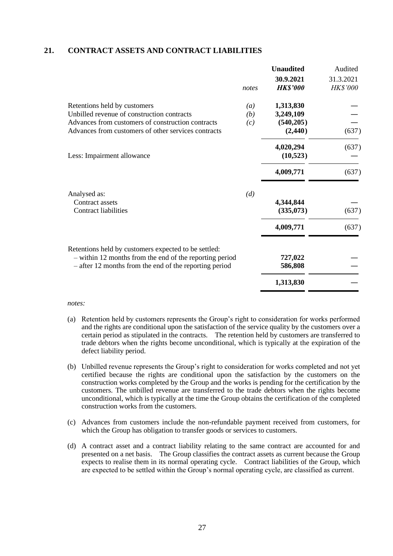#### **21. CONTRACT ASSETS AND CONTRACT LIABILITIES**

|                                                                                                                                                                                        |                   | <b>Unaudited</b>                                 | Audited                      |
|----------------------------------------------------------------------------------------------------------------------------------------------------------------------------------------|-------------------|--------------------------------------------------|------------------------------|
|                                                                                                                                                                                        | notes             | 30.9.2021<br><b>HK\$'000</b>                     | 31.3.2021<br><b>HK\$'000</b> |
| Retentions held by customers<br>Unbilled revenue of construction contracts<br>Advances from customers of construction contracts<br>Advances from customers of other services contracts | (a)<br>(b)<br>(c) | 1,313,830<br>3,249,109<br>(540, 205)<br>(2, 440) | (637)                        |
| Less: Impairment allowance                                                                                                                                                             |                   | 4,020,294<br>(10,523)                            | (637)                        |
|                                                                                                                                                                                        |                   | 4,009,771                                        | (637)                        |
| Analysed as:<br>Contract assets<br><b>Contract liabilities</b>                                                                                                                         | (d)               | 4,344,844<br>(335,073)<br>4,009,771              | (637)<br>(637)               |
| Retentions held by customers expected to be settled:<br>- within 12 months from the end of the reporting period<br>$-$ after 12 months from the end of the reporting period            |                   | 727,022<br>586,808                               |                              |
|                                                                                                                                                                                        |                   | 1,313,830                                        |                              |
|                                                                                                                                                                                        |                   |                                                  |                              |

#### *notes:*

- (a) Retention held by customers represents the Group's right to consideration for works performed and the rights are conditional upon the satisfaction of the service quality by the customers over a certain period as stipulated in the contracts. The retention held by customers are transferred to trade debtors when the rights become unconditional, which is typically at the expiration of the defect liability period.
- (b) Unbilled revenue represents the Group's right to consideration for works completed and not yet certified because the rights are conditional upon the satisfaction by the customers on the construction works completed by the Group and the works is pending for the certification by the customers. The unbilled revenue are transferred to the trade debtors when the rights become unconditional, which is typically at the time the Group obtains the certification of the completed construction works from the customers.
- (c) Advances from customers include the non-refundable payment received from customers, for which the Group has obligation to transfer goods or services to customers.
- (d) A contract asset and a contract liability relating to the same contract are accounted for and presented on a net basis. The Group classifies the contract assets as current because the Group expects to realise them in its normal operating cycle. Contract liabilities of the Group, which are expected to be settled within the Group's normal operating cycle, are classified as current.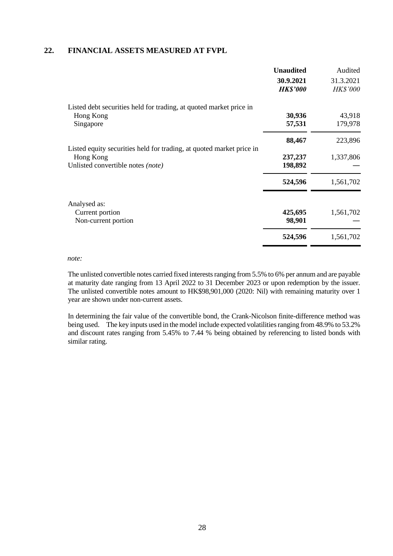#### **22. FINANCIAL ASSETS MEASURED AT FVPL**

|                                                                      | <b>Unaudited</b> | Audited         |
|----------------------------------------------------------------------|------------------|-----------------|
|                                                                      | 30.9.2021        | 31.3.2021       |
|                                                                      | <b>HK\$'000</b>  | <b>HK\$'000</b> |
| Listed debt securities held for trading, at quoted market price in   |                  |                 |
| Hong Kong                                                            | 30,936           | 43,918          |
| Singapore                                                            | 57,531           | 179,978         |
|                                                                      | 88,467           | 223,896         |
| Listed equity securities held for trading, at quoted market price in |                  |                 |
| Hong Kong                                                            | 237,237          | 1,337,806       |
| Unlisted convertible notes (note)                                    | 198,892          |                 |
|                                                                      | 524,596          | 1,561,702       |
| Analysed as:                                                         |                  |                 |
| Current portion                                                      | 425,695          | 1,561,702       |
| Non-current portion                                                  | 98,901           |                 |
|                                                                      | 524,596          | 1,561,702       |

#### *note:*

The unlisted convertible notes carried fixed interests ranging from 5.5% to 6% per annum and are payable at maturity date ranging from 13 April 2022 to 31 December 2023 or upon redemption by the issuer. The unlisted convertible notes amount to HK\$98,901,000 (2020: Nil) with remaining maturity over 1 year are shown under non-current assets.

In determining the fair value of the convertible bond, the Crank-Nicolson finite-difference method was being used. The key inputs used in the model include expected volatilities ranging from 48.9% to 53.2% and discount rates ranging from 5.45% to 7.44 % being obtained by referencing to listed bonds with similar rating.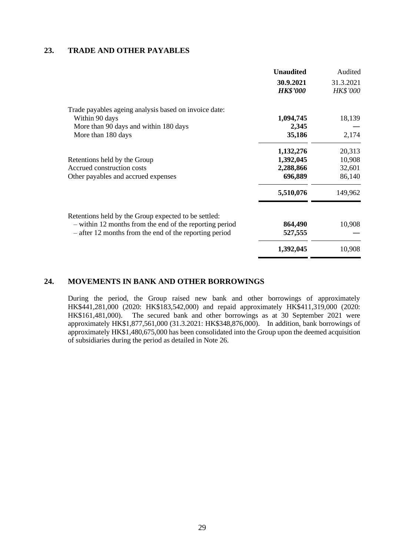#### **23. TRADE AND OTHER PAYABLES**

|                                                         | <b>Unaudited</b> | Audited         |
|---------------------------------------------------------|------------------|-----------------|
|                                                         | 30.9.2021        | 31.3.2021       |
|                                                         | <b>HK\$'000</b>  | <b>HK\$'000</b> |
| Trade payables ageing analysis based on invoice date:   |                  |                 |
| Within 90 days                                          | 1,094,745        | 18,139          |
| More than 90 days and within 180 days                   | 2,345            |                 |
| More than 180 days                                      | 35,186           | 2,174           |
|                                                         | 1,132,276        | 20,313          |
| Retentions held by the Group                            | 1,392,045        | 10,908          |
| Accrued construction costs                              | 2,288,866        | 32,601          |
| Other payables and accrued expenses                     | 696,889          | 86,140          |
|                                                         | 5,510,076        | 149,962         |
| Retentions held by the Group expected to be settled:    |                  |                 |
| - within 12 months from the end of the reporting period | 864,490          | 10,908          |
| - after 12 months from the end of the reporting period  | 527,555          |                 |
|                                                         | 1,392,045        | 10,908          |

## **24. MOVEMENTS IN BANK AND OTHER BORROWINGS**

During the period, the Group raised new bank and other borrowings of approximately HK\$441,281,000 (2020: HK\$183,542,000) and repaid approximately HK\$411,319,000 (2020: HK\$161,481,000). The secured bank and other borrowings as at 30 September 2021 were approximately HK\$1,877,561,000 (31.3.2021: HK\$348,876,000). In addition, bank borrowings of approximately HK\$1,480,675,000 has been consolidated into the Group upon the deemed acquisition of subsidiaries during the period as detailed in Note 26.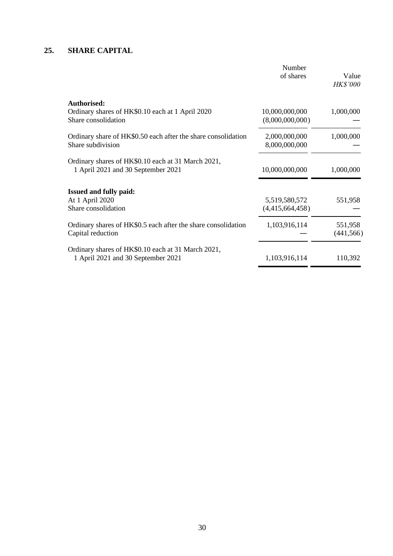## **25. SHARE CAPITAL**

|                                                                                          | Number<br>of shares               | Value<br><b>HK\$'000</b> |
|------------------------------------------------------------------------------------------|-----------------------------------|--------------------------|
| Authorised:<br>Ordinary shares of HK\$0.10 each at 1 April 2020<br>Share consolidation   | 10,000,000,000<br>(8,000,000,000) | 1,000,000                |
| Ordinary share of HK\$0.50 each after the share consolidation<br>Share subdivision       | 2,000,000,000<br>8,000,000,000    | 1,000,000                |
| Ordinary shares of HK\$0.10 each at 31 March 2021,<br>1 April 2021 and 30 September 2021 | 10,000,000,000                    | 1,000,000                |
| <b>Issued and fully paid:</b><br>At 1 April 2020<br>Share consolidation                  | 5,519,580,572<br>(4,415,664,458)  | 551,958                  |
| Ordinary shares of HK\$0.5 each after the share consolidation<br>Capital reduction       | 1,103,916,114                     | 551,958<br>(441, 566)    |
| Ordinary shares of HK\$0.10 each at 31 March 2021,<br>1 April 2021 and 30 September 2021 | 1,103,916,114                     | 110,392                  |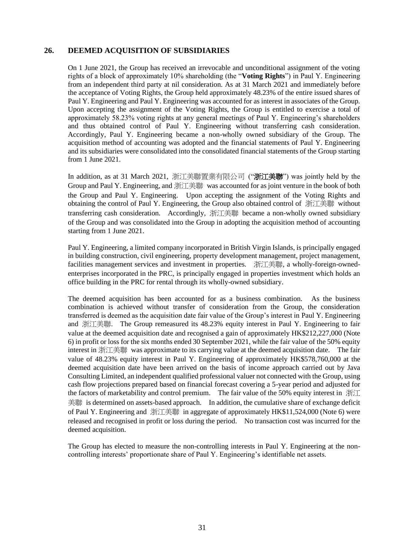### **26. DEEMED ACQUISITION OF SUBSIDIARIES**

On 1 June 2021, the Group has received an irrevocable and unconditional assignment of the voting rights of a block of approximately 10% shareholding (the "**Voting Rights**") in Paul Y. Engineering from an independent third party at nil consideration. As at 31 March 2021 and immediately before the acceptance of Voting Rights, the Group held approximately 48.23% of the entire issued shares of Paul Y. Engineering and Paul Y. Engineering was accounted for as interest in associates of the Group. Upon accepting the assignment of the Voting Rights, the Group is entitled to exercise a total of approximately 58.23% voting rights at any general meetings of Paul Y. Engineering's shareholders and thus obtained control of Paul Y. Engineering without transferring cash consideration. Accordingly, Paul Y. Engineering became a non-wholly owned subsidiary of the Group. The acquisition method of accounting was adopted and the financial statements of Paul Y. Engineering and its subsidiaries were consolidated into the consolidated financial statements of the Group starting from 1 June 2021.

In addition, as at 31 March 2021, 浙江美聯置業有限公司 ("浙江美聯") was jointly held by the Group and Paul Y. Engineering, and 浙江美聯 was accounted for as joint venture in the book of both the Group and Paul Y. Engineering. Upon accepting the assignment of the Voting Rights and obtaining the control of Paul Y. Engineering, the Group also obtained control of 浙江美聯 without transferring cash consideration. Accordingly, 浙江美聯 became a non-wholly owned subsidiary of the Group and was consolidated into the Group in adopting the acquisition method of accounting starting from 1 June 2021.

Paul Y. Engineering, a limited company incorporated in British Virgin Islands, is principally engaged in building construction, civil engineering, property development management, project management, facilities management services and investment in properties. 浙江美聯, a wholly-foreign-ownedenterprises incorporated in the PRC, is principally engaged in properties investment which holds an office building in the PRC for rental through its wholly-owned subsidiary.

The deemed acquisition has been accounted for as a business combination. As the business combination is achieved without transfer of consideration from the Group, the consideration transferred is deemed as the acquisition date fair value of the Group's interest in Paul Y. Engineering and 浙江美聯. The Group remeasured its 48.23% equity interest in Paul Y. Engineering to fair value at the deemed acquisition date and recognised a gain of approximately HK\$212,227,000 (Note 6) in profit or loss for the six months ended 30 September 2021, while the fair value of the 50% equity interest in 浙江美聯 was approximate to its carrying value at the deemed acquisition date. The fair value of 48.23% equity interest in Paul Y. Engineering of approximately HK\$578,760,000 at the deemed acquisition date have been arrived on the basis of income approach carried out by Java Consulting Limited, an independent qualified professional valuer not connected with the Group, using cash flow projections prepared based on financial forecast covering a 5-year period and adjusted for the factors of marketability and control premium. The fair value of the 50% equity interest in 浙江 美聯 is determined on assets-based approach. In addition, the cumulative share of exchange deficit of Paul Y. Engineering and 浙江美聯 in aggregate of approximately HK\$11,524,000 (Note 6) were released and recognised in profit or loss during the period. No transaction cost was incurred for the deemed acquisition.

The Group has elected to measure the non-controlling interests in Paul Y. Engineering at the noncontrolling interests' proportionate share of Paul Y. Engineering's identifiable net assets.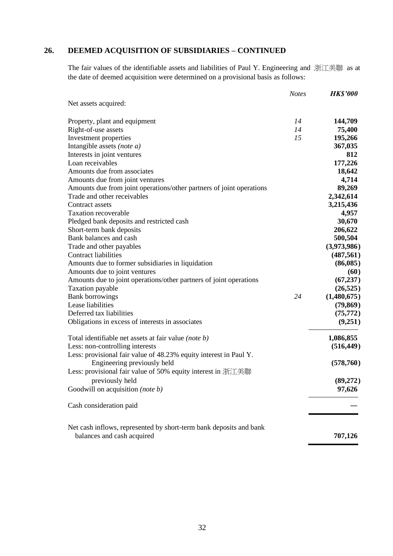# **26. DEEMED ACQUISITION OF SUBSIDIARIES – CONTINUED**

The fair values of the identifiable assets and liabilities of Paul Y. Engineering and 浙江美聯 as at the date of deemed acquisition were determined on a provisional basis as follows:

|                                                                      | <b>Notes</b> | <b>HK\$'000</b> |
|----------------------------------------------------------------------|--------------|-----------------|
| Net assets acquired:                                                 |              |                 |
| Property, plant and equipment                                        | 14           | 144,709         |
| Right-of-use assets                                                  | 14           | 75,400          |
| Investment properties                                                | 15           | 195,266         |
| Intangible assets (note a)                                           |              | 367,035         |
| Interests in joint ventures                                          |              | 812             |
| Loan receivables                                                     |              | 177,226         |
| Amounts due from associates                                          |              | 18,642          |
| Amounts due from joint ventures                                      |              | 4,714           |
| Amounts due from joint operations/other partners of joint operations |              | 89,269          |
| Trade and other receivables                                          |              | 2,342,614       |
| Contract assets                                                      |              | 3,215,436       |
| <b>Taxation recoverable</b>                                          |              | 4,957           |
| Pledged bank deposits and restricted cash                            |              | 30,670          |
| Short-term bank deposits                                             |              | 206,622         |
| Bank balances and cash                                               |              | 500,504         |
| Trade and other payables                                             |              | (3,973,986)     |
| Contract liabilities                                                 |              | (487, 561)      |
| Amounts due to former subsidiaries in liquidation                    |              | (86,085)        |
| Amounts due to joint ventures                                        |              | (60)            |
| Amounts due to joint operations/other partners of joint operations   |              | (67, 237)       |
| Taxation payable                                                     |              | (26, 525)       |
| <b>Bank borrowings</b>                                               | 24           | (1,480,675)     |
| Lease liabilities                                                    |              | (79, 869)       |
| Deferred tax liabilities                                             |              | (75, 772)       |
| Obligations in excess of interests in associates                     |              | (9,251)         |
| Total identifiable net assets at fair value (note b)                 |              | 1,086,855       |
| Less: non-controlling interests                                      |              | (516, 449)      |
| Less: provisional fair value of 48.23% equity interest in Paul Y.    |              |                 |
| Engineering previously held                                          |              | (578, 760)      |
| Less: provisional fair value of 50% equity interest in 浙江美聯          |              |                 |
| previously held                                                      |              | (89,272)        |
| Goodwill on acquisition (note b)                                     |              | 97,626          |
|                                                                      |              |                 |
| Cash consideration paid                                              |              |                 |
| Net cash inflows, represented by short-term bank deposits and bank   |              |                 |
| balances and cash acquired                                           |              | 707,126         |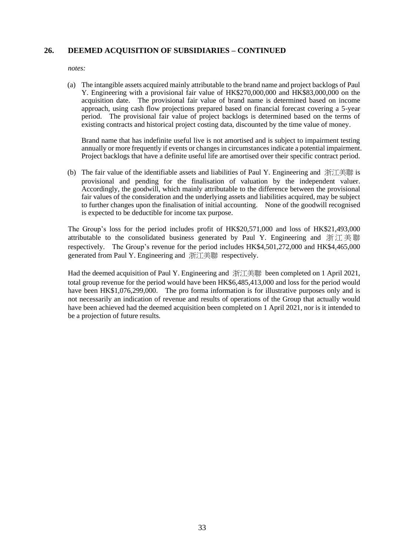### **26. DEEMED ACQUISITION OF SUBSIDIARIES – CONTINUED**

*notes:*

(a) The intangible assets acquired mainly attributable to the brand name and project backlogs of Paul Y. Engineering with a provisional fair value of HK\$270,000,000 and HK\$83,000,000 on the acquisition date. The provisional fair value of brand name is determined based on income approach, using cash flow projections prepared based on financial forecast covering a 5-year period. The provisional fair value of project backlogs is determined based on the terms of existing contracts and historical project costing data, discounted by the time value of money.

Brand name that has indefinite useful live is not amortised and is subject to impairment testing annually or more frequently if events or changes in circumstances indicate a potential impairment. Project backlogs that have a definite useful life are amortised over their specific contract period.

(b) The fair value of the identifiable assets and liabilities of Paul Y. Engineering and 浙江美聯 is provisional and pending for the finalisation of valuation by the independent valuer. Accordingly, the goodwill, which mainly attributable to the difference between the provisional fair values of the consideration and the underlying assets and liabilities acquired, may be subject to further changes upon the finalisation of initial accounting. None of the goodwill recognised is expected to be deductible for income tax purpose.

The Group's loss for the period includes profit of HK\$20,571,000 and loss of HK\$21,493,000 attributable to the consolidated business generated by Paul Y. Engineering and 浙江美聯 respectively. The Group's revenue for the period includes HK\$4,501,272,000 and HK\$4,465,000 generated from Paul Y. Engineering and 浙江美聯 respectively.

Had the deemed acquisition of Paul Y. Engineering and 浙江美聯 been completed on 1 April 2021, total group revenue for the period would have been HK\$6,485,413,000 and loss for the period would have been HK\$1,076,299,000. The pro forma information is for illustrative purposes only and is not necessarily an indication of revenue and results of operations of the Group that actually would have been achieved had the deemed acquisition been completed on 1 April 2021, nor is it intended to be a projection of future results.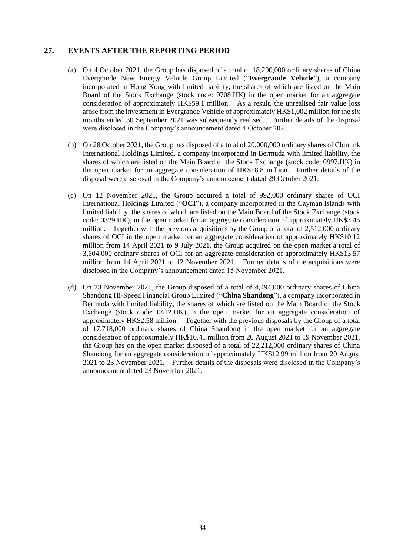#### **27. EVENTS AFTER THE REPORTING PERIOD**

- (a) On 4 October 2021, the Group has disposed of a total of 18,290,000 ordinary shares of China Evergrande New Energy Vehicle Group Limited ("**Evergrande Vehicle**"), a company incorporated in Hong Kong with limited liability, the shares of which are listed on the Main Board of the Stock Exchange (stock code: 0708.HK) in the open market for an aggregate consideration of approximately HK\$59.1 million. As a result, the unrealised fair value loss arose from the investment in Evergrande Vehicle of approximately HK\$1,002 million for the six months ended 30 September 2021 was subsequently realised. Further details of the disposal were disclosed in the Company's announcement dated 4 October 2021.
- (b) On 28 October 2021, the Group has disposed of a total of 20,000,000 ordinary shares of Chinlink International Holdings Limited, a company incorporated in Bermuda with limited liability, the shares of which are listed on the Main Board of the Stock Exchange (stock code: 0997.HK) in the open market for an aggregate consideration of HK\$18.8 million. Further details of the disposal were disclosed in the Company's announcement dated 29 October 2021.
- (c) On 12 November 2021, the Group acquired a total of 992,000 ordinary shares of OCI International Holdings Limited ("**OCI**"), a company incorporated in the Cayman Islands with limited liability, the shares of which are listed on the Main Board of the Stock Exchange (stock code: 0329.HK), in the open market for an aggregate consideration of approximately HK\$3.45 million. Together with the previous acquisitions by the Group of a total of 2,512,000 ordinary shares of OCI in the open market for an aggregate consideration of approximately HK\$10.12 million from 14 April 2021 to 9 July 2021, the Group acquired on the open market a total of 3,504,000 ordinary shares of OCI for an aggregate consideration of approximately HK\$13.57 million from 14 April 2021 to 12 November 2021. Further details of the acquisitions were disclosed in the Company's announcement dated 15 November 2021.
- (d) On 23 November 2021, the Group disposed of a total of 4,494,000 ordinary shares of China Shandong Hi-Speed Financial Group Limited ("**China Shandong**"), a company incorporated in Bermuda with limited liability, the shares of which are listed on the Main Board of the Stock Exchange (stock code: 0412.HK) in the open market for an aggregate consideration of approximately HK\$2.58 million. Together with the previous disposals by the Group of a total of 17,718,000 ordinary shares of China Shandong in the open market for an aggregate consideration of approximately HK\$10.41 million from 20 August 2021 to 19 November 2021, the Group has on the open market disposed of a total of 22,212,000 ordinary shares of China Shandong for an aggregate consideration of approximately HK\$12.99 million from 20 August 2021 to 23 November 2021. Further details of the disposals were disclosed in the Company's announcement dated 23 November 2021.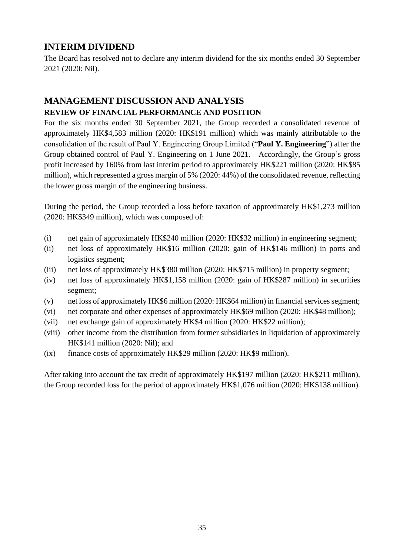# **INTERIM DIVIDEND**

The Board has resolved not to declare any interim dividend for the six months ended 30 September 2021 (2020: Nil).

# **MANAGEMENT DISCUSSION AND ANALYSIS REVIEW OF FINANCIAL PERFORMANCE AND POSITION**

For the six months ended 30 September 2021, the Group recorded a consolidated revenue of approximately HK\$4,583 million (2020: HK\$191 million) which was mainly attributable to the consolidation of the result of Paul Y. Engineering Group Limited ("**Paul Y. Engineering**") after the Group obtained control of Paul Y. Engineering on 1 June 2021. Accordingly, the Group's gross profit increased by 160% from last interim period to approximately HK\$221 million (2020: HK\$85 million), which represented a gross margin of 5% (2020: 44%) of the consolidated revenue, reflecting the lower gross margin of the engineering business.

During the period, the Group recorded a loss before taxation of approximately HK\$1,273 million (2020: HK\$349 million), which was composed of:

- (i) net gain of approximately HK\$240 million (2020: HK\$32 million) in engineering segment;
- (ii) net loss of approximately HK\$16 million (2020: gain of HK\$146 million) in ports and logistics segment;
- (iii) net loss of approximately HK\$380 million (2020: HK\$715 million) in property segment;
- (iv) net loss of approximately HK\$1,158 million (2020: gain of HK\$287 million) in securities segment;
- (v) net loss of approximately HK\$6 million (2020: HK\$64 million) in financialservices segment;
- (vi) net corporate and other expenses of approximately HK\$69 million (2020: HK\$48 million);
- (vii) net exchange gain of approximately HK\$4 million (2020: HK\$22 million);
- (viii) other income from the distribution from former subsidiaries in liquidation of approximately HK\$141 million (2020: Nil); and
- (ix) finance costs of approximately HK\$29 million (2020: HK\$9 million).

After taking into account the tax credit of approximately HK\$197 million (2020: HK\$211 million), the Group recorded loss for the period of approximately HK\$1,076 million (2020: HK\$138 million).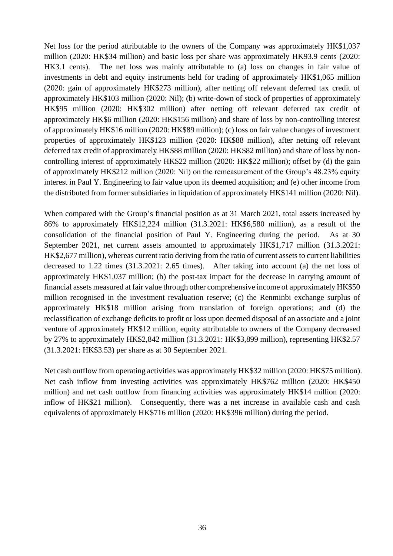Net loss for the period attributable to the owners of the Company was approximately HK\$1,037 million (2020: HK\$34 million) and basic loss per share was approximately HK93.9 cents (2020: HK3.1 cents). The net loss was mainly attributable to (a) loss on changes in fair value of investments in debt and equity instruments held for trading of approximately HK\$1,065 million (2020: gain of approximately HK\$273 million), after netting off relevant deferred tax credit of approximately HK\$103 million (2020: Nil); (b) write-down of stock of properties of approximately HK\$95 million (2020: HK\$302 million) after netting off relevant deferred tax credit of approximately HK\$6 million (2020: HK\$156 million) and share of loss by non-controlling interest of approximately HK\$16 million (2020: HK\$89 million); (c) loss on fair value changes of investment properties of approximately HK\$123 million (2020: HK\$88 million), after netting off relevant deferred tax credit of approximately HK\$88 million (2020: HK\$82 million) and share of loss by noncontrolling interest of approximately HK\$22 million (2020: HK\$22 million); offset by (d) the gain of approximately HK\$212 million (2020: Nil) on the remeasurement of the Group's 48.23% equity interest in Paul Y. Engineering to fair value upon its deemed acquisition; and (e) other income from the distributed from former subsidiaries in liquidation of approximately HK\$141 million (2020: Nil).

When compared with the Group's financial position as at 31 March 2021, total assets increased by 86% to approximately HK\$12,224 million (31.3.2021: HK\$6,580 million), as a result of the consolidation of the financial position of Paul Y. Engineering during the period. As at 30 September 2021, net current assets amounted to approximately HK\$1,717 million (31.3.2021: HK\$2,677 million), whereas current ratio deriving from the ratio of current assets to current liabilities decreased to 1.22 times (31.3.2021: 2.65 times). After taking into account (a) the net loss of approximately HK\$1,037 million; (b) the post-tax impact for the decrease in carrying amount of financial assets measured at fair value through other comprehensive income of approximately HK\$50 million recognised in the investment revaluation reserve; (c) the Renminbi exchange surplus of approximately HK\$18 million arising from translation of foreign operations; and (d) the reclassification of exchange deficits to profit or loss upon deemed disposal of an associate and a joint venture of approximately HK\$12 million, equity attributable to owners of the Company decreased by 27% to approximately HK\$2,842 million (31.3.2021: HK\$3,899 million), representing HK\$2.57 (31.3.2021: HK\$3.53) per share as at 30 September 2021.

Net cash outflow from operating activities was approximately HK\$32 million (2020: HK\$75 million). Net cash inflow from investing activities was approximately HK\$762 million (2020: HK\$450 million) and net cash outflow from financing activities was approximately HK\$14 million (2020: inflow of HK\$21 million). Consequently, there was a net increase in available cash and cash equivalents of approximately HK\$716 million (2020: HK\$396 million) during the period.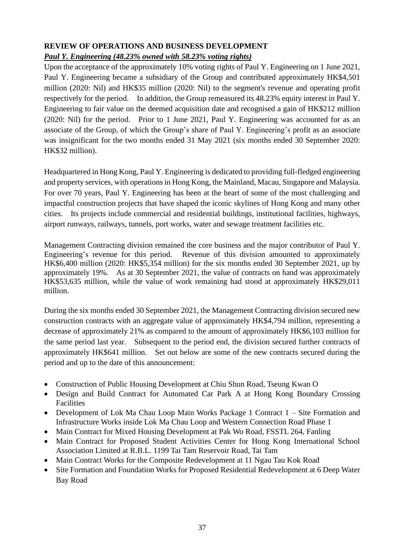## **REVIEW OF OPERATIONS AND BUSINESS DEVELOPMENT** *Paul Y. Engineering (48.23% owned with 58.23% voting rights)*

Upon the acceptance of the approximately 10% voting rights of Paul Y. Engineering on 1 June 2021, Paul Y. Engineering became a subsidiary of the Group and contributed approximately HK\$4,501 million (2020: Nil) and HK\$35 million (2020: Nil) to the segment's revenue and operating profit respectively for the period. In addition, the Group remeasured its 48.23% equity interest in Paul Y. Engineering to fair value on the deemed acquisition date and recognised a gain of HK\$212 million (2020: Nil) for the period. Prior to 1 June 2021, Paul Y. Engineering was accounted for as an associate of the Group, of which the Group's share of Paul Y. Engineering's profit as an associate was insignificant for the two months ended 31 May 2021 (six months ended 30 September 2020: HK\$32 million).

Headquartered in Hong Kong, Paul Y. Engineering is dedicated to providing full-fledged engineering and property services, with operations in Hong Kong, the Mainland, Macau, Singapore and Malaysia. For over 70 years, Paul Y. Engineering has been at the heart of some of the most challenging and impactful construction projects that have shaped the iconic skylines of Hong Kong and many other cities. Its projects include commercial and residential buildings, institutional facilities, highways, airport runways, railways, tunnels, port works, water and sewage treatment facilities etc.

Management Contracting division remained the core business and the major contributor of Paul Y. Engineering's revenue for this period. Revenue of this division amounted to approximately HK\$6,400 million (2020: HK\$5,354 million) for the six months ended 30 September 2021, up by approximately 19%. As at 30 September 2021, the value of contracts on hand was approximately HK\$53,635 million, while the value of work remaining had stood at approximately HK\$29,011 million.

During the six months ended 30 September 2021, the Management Contracting division secured new construction contracts with an aggregate value of approximately HK\$4,794 million, representing a decrease of approximately 21% as compared to the amount of approximately HK\$6,103 million for the same period last year. Subsequent to the period end, the division secured further contracts of approximately HK\$641 million. Set out below are some of the new contracts secured during the period and up to the date of this announcement:

- Construction of Public Housing Development at Chiu Shun Road, Tseung Kwan O
- Design and Build Contract for Automated Car Park A at Hong Kong Boundary Crossing Facilities
- Development of Lok Ma Chau Loop Main Works Package 1 Contract 1 Site Formation and Infrastructure Works inside Lok Ma Chau Loop and Western Connection Road Phase 1
- Main Contract for Mixed Housing Development at Pak Wo Road, FSSTL 264, Fanling
- Main Contract for Proposed Student Activities Center for Hong Kong International School Association Limited at R.B.L. 1199 Tai Tam Reservoir Road, Tai Tam
- Main Contract Works for the Composite Redevelopment at 11 Ngau Tau Kok Road
- Site Formation and Foundation Works for Proposed Residential Redevelopment at 6 Deep Water Bay Road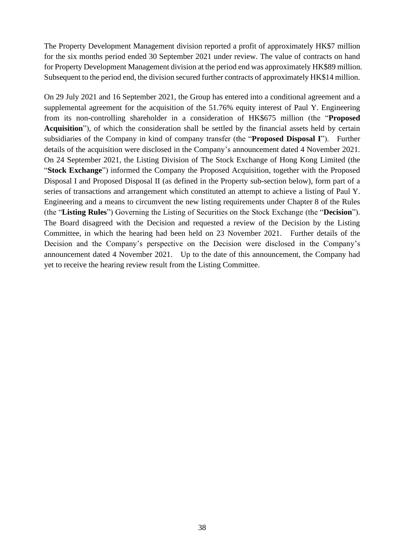The Property Development Management division reported a profit of approximately HK\$7 million for the six months period ended 30 September 2021 under review. The value of contracts on hand for Property Development Management division at the period end was approximately HK\$89 million. Subsequent to the period end, the division secured further contracts of approximately HK\$14 million.

On 29 July 2021 and 16 September 2021, the Group has entered into a conditional agreement and a supplemental agreement for the acquisition of the 51.76% equity interest of Paul Y. Engineering from its non-controlling shareholder in a consideration of HK\$675 million (the "**Proposed Acquisition**"), of which the consideration shall be settled by the financial assets held by certain subsidiaries of the Company in kind of company transfer (the "**Proposed Disposal I**"). Further details of the acquisition were disclosed in the Company's announcement dated 4 November 2021. On 24 September 2021, the Listing Division of The Stock Exchange of Hong Kong Limited (the "**Stock Exchange**") informed the Company the Proposed Acquisition, together with the Proposed Disposal I and Proposed Disposal II (as defined in the Property sub-section below), form part of a series of transactions and arrangement which constituted an attempt to achieve a listing of Paul Y. Engineering and a means to circumvent the new listing requirements under Chapter 8 of the Rules (the "**Listing Rules**") Governing the Listing of Securities on the Stock Exchange (the "**Decision**"). The Board disagreed with the Decision and requested a review of the Decision by the Listing Committee, in which the hearing had been held on 23 November 2021. Further details of the Decision and the Company's perspective on the Decision were disclosed in the Company's announcement dated 4 November 2021. Up to the date of this announcement, the Company had yet to receive the hearing review result from the Listing Committee.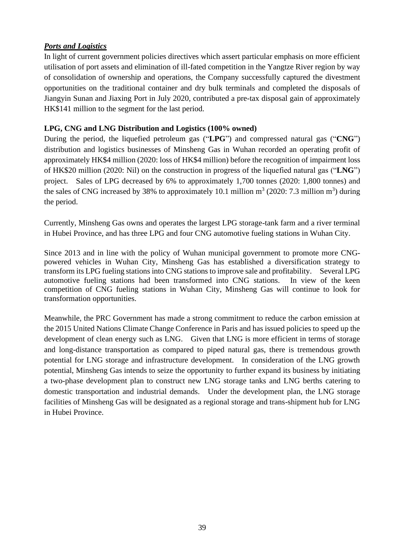## *Ports and Logistics*

In light of current government policies directives which assert particular emphasis on more efficient utilisation of port assets and elimination of ill-fated competition in the Yangtze River region by way of consolidation of ownership and operations, the Company successfully captured the divestment opportunities on the traditional container and dry bulk terminals and completed the disposals of Jiangyin Sunan and Jiaxing Port in July 2020, contributed a pre-tax disposal gain of approximately HK\$141 million to the segment for the last period.

## **LPG, CNG and LNG Distribution and Logistics (100% owned)**

During the period, the liquefied petroleum gas ("**LPG**") and compressed natural gas ("**CNG**") distribution and logistics businesses of Minsheng Gas in Wuhan recorded an operating profit of approximately HK\$4 million (2020: loss of HK\$4 million) before the recognition of impairment loss of HK\$20 million (2020: Nil) on the construction in progress of the liquefied natural gas ("**LNG**") project. Sales of LPG decreased by 6% to approximately 1,700 tonnes (2020: 1,800 tonnes) and the sales of CNG increased by 38% to approximately 10.1 million  $m^3$  (2020: 7.3 million  $m^3$ ) during the period.

Currently, Minsheng Gas owns and operates the largest LPG storage-tank farm and a river terminal in Hubei Province, and has three LPG and four CNG automotive fueling stations in Wuhan City.

Since 2013 and in line with the policy of Wuhan municipal government to promote more CNGpowered vehicles in Wuhan City, Minsheng Gas has established a diversification strategy to transform its LPG fueling stations into CNG stations to improve sale and profitability. Several LPG automotive fueling stations had been transformed into CNG stations. In view of the keen competition of CNG fueling stations in Wuhan City, Minsheng Gas will continue to look for transformation opportunities.

Meanwhile, the PRC Government has made a strong commitment to reduce the carbon emission at the 2015 United Nations Climate Change Conference in Paris and has issued policies to speed up the development of clean energy such as LNG. Given that LNG is more efficient in terms of storage and long-distance transportation as compared to piped natural gas, there is tremendous growth potential for LNG storage and infrastructure development. In consideration of the LNG growth potential, Minsheng Gas intends to seize the opportunity to further expand its business by initiating a two-phase development plan to construct new LNG storage tanks and LNG berths catering to domestic transportation and industrial demands. Under the development plan, the LNG storage facilities of Minsheng Gas will be designated as a regional storage and trans-shipment hub for LNG in Hubei Province.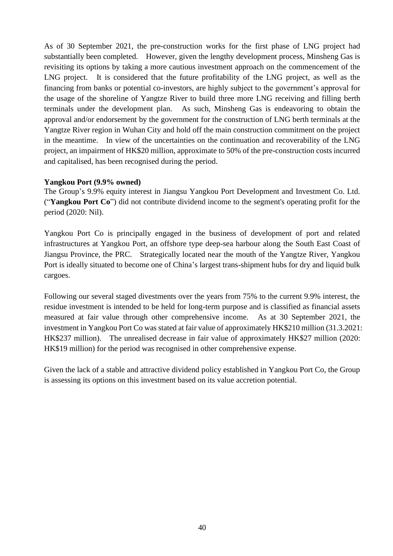As of 30 September 2021, the pre-construction works for the first phase of LNG project had substantially been completed. However, given the lengthy development process, Minsheng Gas is revisiting its options by taking a more cautious investment approach on the commencement of the LNG project. It is considered that the future profitability of the LNG project, as well as the financing from banks or potential co-investors, are highly subject to the government's approval for the usage of the shoreline of Yangtze River to build three more LNG receiving and filling berth terminals under the development plan. As such, Minsheng Gas is endeavoring to obtain the approval and/or endorsement by the government for the construction of LNG berth terminals at the Yangtze River region in Wuhan City and hold off the main construction commitment on the project in the meantime. In view of the uncertainties on the continuation and recoverability of the LNG project, an impairment of HK\$20 million, approximate to 50% of the pre-construction costs incurred and capitalised, has been recognised during the period.

### **Yangkou Port (9.9% owned)**

The Group's 9.9% equity interest in Jiangsu Yangkou Port Development and Investment Co. Ltd. ("**Yangkou Port Co**") did not contribute dividend income to the segment's operating profit for the period (2020: Nil).

Yangkou Port Co is principally engaged in the business of development of port and related infrastructures at Yangkou Port, an offshore type deep-sea harbour along the South East Coast of Jiangsu Province, the PRC. Strategically located near the mouth of the Yangtze River, Yangkou Port is ideally situated to become one of China's largest trans-shipment hubs for dry and liquid bulk cargoes.

Following our several staged divestments over the years from 75% to the current 9.9% interest, the residue investment is intended to be held for long-term purpose and is classified as financial assets measured at fair value through other comprehensive income. As at 30 September 2021, the investment in Yangkou Port Co was stated at fair value of approximately HK\$210 million (31.3.2021: HK\$237 million). The unrealised decrease in fair value of approximately HK\$27 million (2020: HK\$19 million) for the period was recognised in other comprehensive expense.

Given the lack of a stable and attractive dividend policy established in Yangkou Port Co, the Group is assessing its options on this investment based on its value accretion potential.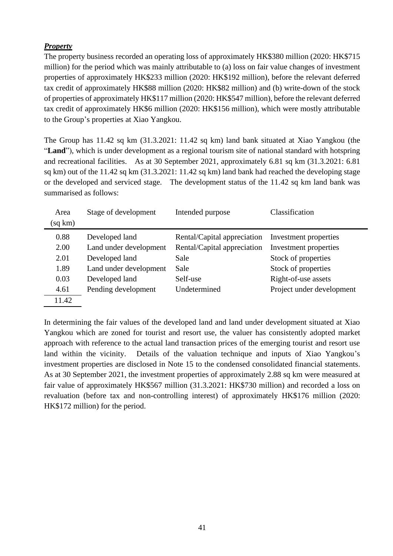## *Property*

The property business recorded an operating loss of approximately HK\$380 million (2020: HK\$715 million) for the period which was mainly attributable to (a) loss on fair value changes of investment properties of approximately HK\$233 million (2020: HK\$192 million), before the relevant deferred tax credit of approximately HK\$88 million (2020: HK\$82 million) and (b) write-down of the stock of properties of approximately HK\$117 million (2020: HK\$547 million), before the relevant deferred tax credit of approximately HK\$6 million (2020: HK\$156 million), which were mostly attributable to the Group's properties at Xiao Yangkou.

The Group has 11.42 sq km (31.3.2021: 11.42 sq km) land bank situated at Xiao Yangkou (the "**Land**"), which is under development as a regional tourism site of national standard with hotspring and recreational facilities. As at 30 September 2021, approximately 6.81 sq km (31.3.2021: 6.81 sq km) out of the 11.42 sq km (31.3.2021: 11.42 sq km) land bank had reached the developing stage or the developed and serviced stage. The development status of the 11.42 sq km land bank was summarised as follows:

| Area    | Stage of development   | Intended purpose            | Classification            |
|---------|------------------------|-----------------------------|---------------------------|
| (sq km) |                        |                             |                           |
| 0.88    | Developed land         | Rental/Capital appreciation | Investment properties     |
| 2.00    | Land under development | Rental/Capital appreciation | Investment properties     |
| 2.01    | Developed land         | Sale                        | Stock of properties       |
| 1.89    | Land under development | Sale                        | Stock of properties       |
| 0.03    | Developed land         | Self-use                    | Right-of-use assets       |
| 4.61    | Pending development    | Undetermined                | Project under development |
| 11.42   |                        |                             |                           |

In determining the fair values of the developed land and land under development situated at Xiao Yangkou which are zoned for tourist and resort use, the valuer has consistently adopted market approach with reference to the actual land transaction prices of the emerging tourist and resort use land within the vicinity. Details of the valuation technique and inputs of Xiao Yangkou's investment properties are disclosed in Note 15 to the condensed consolidated financial statements. As at 30 September 2021, the investment properties of approximately 2.88 sq km were measured at fair value of approximately HK\$567 million (31.3.2021: HK\$730 million) and recorded a loss on revaluation (before tax and non-controlling interest) of approximately HK\$176 million (2020: HK\$172 million) for the period.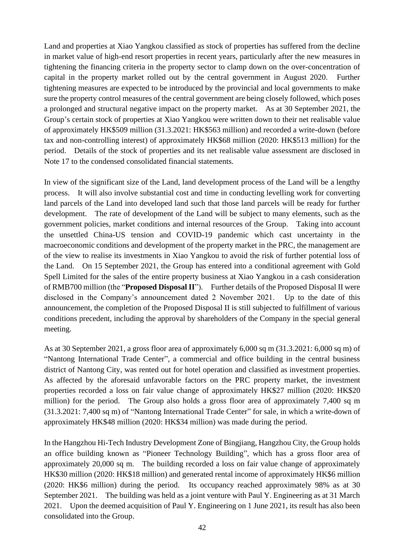Land and properties at Xiao Yangkou classified as stock of properties has suffered from the decline in market value of high-end resort properties in recent years, particularly after the new measures in tightening the financing criteria in the property sector to clamp down on the over-concentration of capital in the property market rolled out by the central government in August 2020. Further tightening measures are expected to be introduced by the provincial and local governments to make sure the property control measures of the central government are being closely followed, which poses a prolonged and structural negative impact on the property market. As at 30 September 2021, the Group's certain stock of properties at Xiao Yangkou were written down to their net realisable value of approximately HK\$509 million (31.3.2021: HK\$563 million) and recorded a write-down (before tax and non-controlling interest) of approximately HK\$68 million (2020: HK\$513 million) for the period. Details of the stock of properties and its net realisable value assessment are disclosed in Note 17 to the condensed consolidated financial statements.

In view of the significant size of the Land, land development process of the Land will be a lengthy process. It will also involve substantial cost and time in conducting levelling work for converting land parcels of the Land into developed land such that those land parcels will be ready for further development. The rate of development of the Land will be subject to many elements, such as the government policies, market conditions and internal resources of the Group. Taking into account the unsettled China-US tension and COVID-19 pandemic which cast uncertainty in the macroeconomic conditions and development of the property market in the PRC, the management are of the view to realise its investments in Xiao Yangkou to avoid the risk of further potential loss of the Land. On 15 September 2021, the Group has entered into a conditional agreement with Gold Spell Limited for the sales of the entire property business at Xiao Yangkou in a cash consideration of RMB700 million (the "**Proposed Disposal II**"). Further details of the Proposed Disposal II were disclosed in the Company's announcement dated 2 November 2021. Up to the date of this announcement, the completion of the Proposed Disposal II is still subjected to fulfillment of various conditions precedent, including the approval by shareholders of the Company in the special general meeting.

As at 30 September 2021, a gross floor area of approximately 6,000 sq m (31.3.2021: 6,000 sq m) of "Nantong International Trade Center", a commercial and office building in the central business district of Nantong City, was rented out for hotel operation and classified as investment properties. As affected by the aforesaid unfavorable factors on the PRC property market, the investment properties recorded a loss on fair value change of approximately HK\$27 million (2020: HK\$20 million) for the period. The Group also holds a gross floor area of approximately 7,400 sq m (31.3.2021: 7,400 sq m) of "Nantong International Trade Center" for sale, in which a write-down of approximately HK\$48 million (2020: HK\$34 million) was made during the period.

In the Hangzhou Hi-Tech Industry Development Zone of Bingjiang, Hangzhou City, the Group holds an office building known as "Pioneer Technology Building", which has a gross floor area of approximately 20,000 sq m. The building recorded a loss on fair value change of approximately HK\$30 million (2020: HK\$18 million) and generated rental income of approximately HK\$6 million (2020: HK\$6 million) during the period. Its occupancy reached approximately 98% as at 30 September 2021. The building was held as a joint venture with Paul Y. Engineering as at 31 March 2021. Upon the deemed acquisition of Paul Y. Engineering on 1 June 2021, its result has also been consolidated into the Group.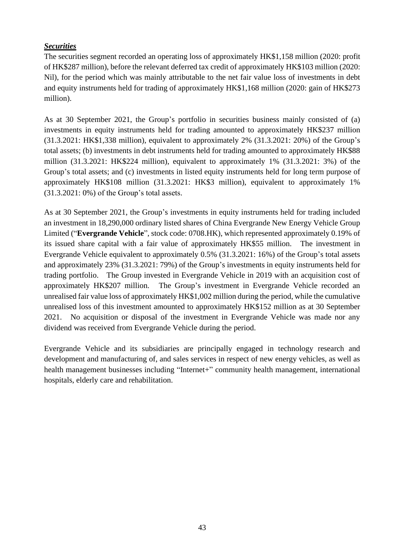## *Securities*

The securities segment recorded an operating loss of approximately HK\$1,158 million (2020: profit of HK\$287 million), before the relevant deferred tax credit of approximately HK\$103 million (2020: Nil), for the period which was mainly attributable to the net fair value loss of investments in debt and equity instruments held for trading of approximately HK\$1,168 million (2020: gain of HK\$273 million).

As at 30 September 2021, the Group's portfolio in securities business mainly consisted of (a) investments in equity instruments held for trading amounted to approximately HK\$237 million (31.3.2021: HK\$1,338 million), equivalent to approximately 2% (31.3.2021: 20%) of the Group's total assets; (b) investments in debt instruments held for trading amounted to approximately HK\$88 million (31.3.2021: HK\$224 million), equivalent to approximately 1% (31.3.2021: 3%) of the Group's total assets; and (c) investments in listed equity instruments held for long term purpose of approximately HK\$108 million (31.3.2021: HK\$3 million), equivalent to approximately 1% (31.3.2021: 0%) of the Group's total assets.

As at 30 September 2021, the Group's investments in equity instruments held for trading included an investment in 18,290,000 ordinary listed shares of China Evergrande New Energy Vehicle Group Limited ("**Evergrande Vehicle**", stock code: 0708.HK), which represented approximately 0.19% of its issued share capital with a fair value of approximately HK\$55 million. The investment in Evergrande Vehicle equivalent to approximately 0.5% (31.3.2021: 16%) of the Group's total assets and approximately 23% (31.3.2021: 79%) of the Group's investments in equity instruments held for trading portfolio. The Group invested in Evergrande Vehicle in 2019 with an acquisition cost of approximately HK\$207 million. The Group's investment in Evergrande Vehicle recorded an unrealised fair value loss of approximately HK\$1,002 million during the period, while the cumulative unrealised loss of this investment amounted to approximately HK\$152 million as at 30 September 2021. No acquisition or disposal of the investment in Evergrande Vehicle was made nor any dividend was received from Evergrande Vehicle during the period.

Evergrande Vehicle and its subsidiaries are principally engaged in technology research and development and manufacturing of, and sales services in respect of new energy vehicles, as well as health management businesses including "Internet+" community health management, international hospitals, elderly care and rehabilitation.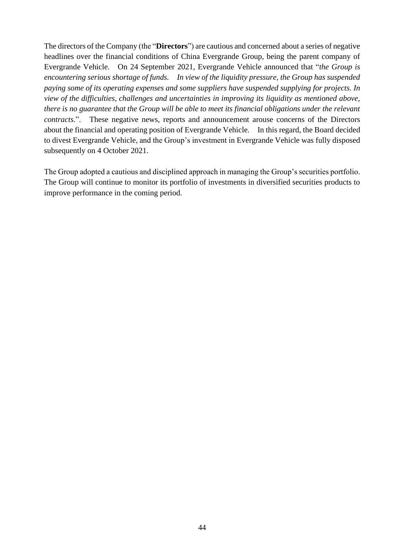The directors of the Company (the "**Directors**") are cautious and concerned about a series of negative headlines over the financial conditions of China Evergrande Group, being the parent company of Evergrande Vehicle. On 24 September 2021, Evergrande Vehicle announced that "*the Group is encountering serious shortage of funds. In view of the liquidity pressure, the Group has suspended paying some of its operating expenses and some suppliers have suspended supplying for projects. In view of the difficulties, challenges and uncertainties in improving its liquidity as mentioned above, there is no guarantee that the Group will be able to meet its financial obligations under the relevant contracts.*". These negative news, reports and announcement arouse concerns of the Directors about the financial and operating position of Evergrande Vehicle. In this regard, the Board decided to divest Evergrande Vehicle, and the Group's investment in Evergrande Vehicle was fully disposed subsequently on 4 October 2021.

The Group adopted a cautious and disciplined approach in managing the Group's securities portfolio. The Group will continue to monitor its portfolio of investments in diversified securities products to improve performance in the coming period.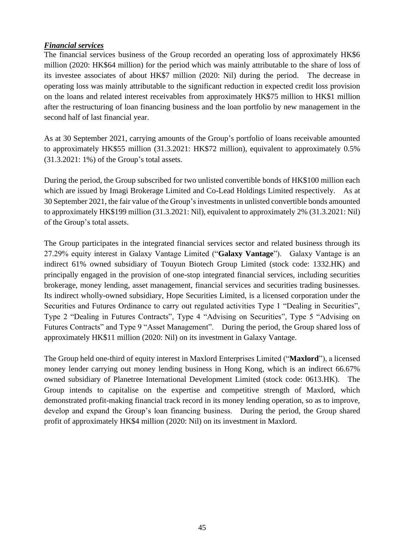## *Financial services*

The financial services business of the Group recorded an operating loss of approximately HK\$6 million (2020: HK\$64 million) for the period which was mainly attributable to the share of loss of its investee associates of about HK\$7 million (2020: Nil) during the period. The decrease in operating loss was mainly attributable to the significant reduction in expected credit loss provision on the loans and related interest receivables from approximately HK\$75 million to HK\$1 million after the restructuring of loan financing business and the loan portfolio by new management in the second half of last financial year.

As at 30 September 2021, carrying amounts of the Group's portfolio of loans receivable amounted to approximately HK\$55 million (31.3.2021: HK\$72 million), equivalent to approximately 0.5% (31.3.2021: 1%) of the Group's total assets.

During the period, the Group subscribed for two unlisted convertible bonds of HK\$100 million each which are issued by Imagi Brokerage Limited and Co-Lead Holdings Limited respectively. As at 30 September 2021, the fair value of the Group's investmentsin unlisted convertible bonds amounted to approximately HK\$199 million (31.3.2021: Nil), equivalent to approximately 2% (31.3.2021: Nil) of the Group's total assets.

The Group participates in the integrated financial services sector and related business through its 27.29% equity interest in Galaxy Vantage Limited ("**Galaxy Vantage**"). Galaxy Vantage is an indirect 61% owned subsidiary of Touyun Biotech Group Limited (stock code: 1332.HK) and principally engaged in the provision of one-stop integrated financial services, including securities brokerage, money lending, asset management, financial services and securities trading businesses. Its indirect wholly-owned subsidiary, Hope Securities Limited, is a licensed corporation under the Securities and Futures Ordinance to carry out regulated activities Type 1 "Dealing in Securities", Type 2 "Dealing in Futures Contracts", Type 4 "Advising on Securities", Type 5 "Advising on Futures Contracts" and Type 9 "Asset Management". During the period, the Group shared loss of approximately HK\$11 million (2020: Nil) on its investment in Galaxy Vantage.

The Group held one-third of equity interest in Maxlord Enterprises Limited ("**Maxlord**"), a licensed money lender carrying out money lending business in Hong Kong, which is an indirect 66.67% owned subsidiary of Planetree International Development Limited (stock code: 0613.HK). The Group intends to capitalise on the expertise and competitive strength of Maxlord, which demonstrated profit-making financial track record in its money lending operation, so as to improve, develop and expand the Group's loan financing business. During the period, the Group shared profit of approximately HK\$4 million (2020: Nil) on its investment in Maxlord.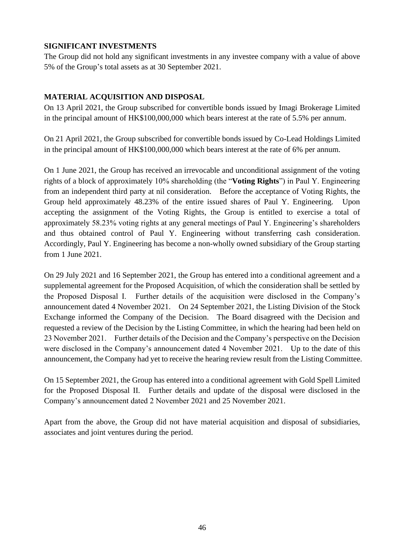## **SIGNIFICANT INVESTMENTS**

The Group did not hold any significant investments in any investee company with a value of above 5% of the Group's total assets as at 30 September 2021.

## **MATERIAL ACQUISITION AND DISPOSAL**

On 13 April 2021, the Group subscribed for convertible bonds issued by Imagi Brokerage Limited in the principal amount of HK\$100,000,000 which bears interest at the rate of 5.5% per annum.

On 21 April 2021, the Group subscribed for convertible bonds issued by Co-Lead Holdings Limited in the principal amount of HK\$100,000,000 which bears interest at the rate of 6% per annum.

On 1 June 2021, the Group has received an irrevocable and unconditional assignment of the voting rights of a block of approximately 10% shareholding (the "**Voting Rights**") in Paul Y. Engineering from an independent third party at nil consideration. Before the acceptance of Voting Rights, the Group held approximately 48.23% of the entire issued shares of Paul Y. Engineering. Upon accepting the assignment of the Voting Rights, the Group is entitled to exercise a total of approximately 58.23% voting rights at any general meetings of Paul Y. Engineering's shareholders and thus obtained control of Paul Y. Engineering without transferring cash consideration. Accordingly, Paul Y. Engineering has become a non-wholly owned subsidiary of the Group starting from 1 June 2021.

On 29 July 2021 and 16 September 2021, the Group has entered into a conditional agreement and a supplemental agreement for the Proposed Acquisition, of which the consideration shall be settled by the Proposed Disposal I. Further details of the acquisition were disclosed in the Company's announcement dated 4 November 2021. On 24 September 2021, the Listing Division of the Stock Exchange informed the Company of the Decision. The Board disagreed with the Decision and requested a review of the Decision by the Listing Committee, in which the hearing had been held on 23 November 2021. Further details of the Decision and the Company's perspective on the Decision were disclosed in the Company's announcement dated 4 November 2021. Up to the date of this announcement, the Company had yet to receive the hearing review result from the Listing Committee.

On 15 September 2021, the Group has entered into a conditional agreement with Gold Spell Limited for the Proposed Disposal II. Further details and update of the disposal were disclosed in the Company's announcement dated 2 November 2021 and 25 November 2021.

Apart from the above, the Group did not have material acquisition and disposal of subsidiaries, associates and joint ventures during the period.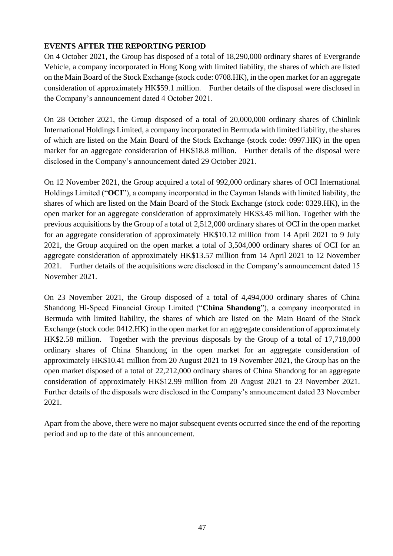## **EVENTS AFTER THE REPORTING PERIOD**

On 4 October 2021, the Group has disposed of a total of 18,290,000 ordinary shares of Evergrande Vehicle, a company incorporated in Hong Kong with limited liability, the shares of which are listed on the Main Board of the Stock Exchange (stock code: 0708.HK), in the open market for an aggregate consideration of approximately HK\$59.1 million. Further details of the disposal were disclosed in the Company's announcement dated 4 October 2021.

On 28 October 2021, the Group disposed of a total of 20,000,000 ordinary shares of Chinlink International Holdings Limited, a company incorporated in Bermuda with limited liability, the shares of which are listed on the Main Board of the Stock Exchange (stock code: 0997.HK) in the open market for an aggregate consideration of HK\$18.8 million. Further details of the disposal were disclosed in the Company's announcement dated 29 October 2021.

On 12 November 2021, the Group acquired a total of 992,000 ordinary shares of OCI International Holdings Limited ("**OCI**"), a company incorporated in the Cayman Islands with limited liability, the shares of which are listed on the Main Board of the Stock Exchange (stock code: 0329.HK), in the open market for an aggregate consideration of approximately HK\$3.45 million. Together with the previous acquisitions by the Group of a total of 2,512,000 ordinary shares of OCI in the open market for an aggregate consideration of approximately HK\$10.12 million from 14 April 2021 to 9 July 2021, the Group acquired on the open market a total of 3,504,000 ordinary shares of OCI for an aggregate consideration of approximately HK\$13.57 million from 14 April 2021 to 12 November 2021. Further details of the acquisitions were disclosed in the Company's announcement dated 15 November 2021.

On 23 November 2021, the Group disposed of a total of 4,494,000 ordinary shares of China Shandong Hi-Speed Financial Group Limited ("**China Shandong**"), a company incorporated in Bermuda with limited liability, the shares of which are listed on the Main Board of the Stock Exchange (stock code: 0412.HK) in the open market for an aggregate consideration of approximately HK\$2.58 million. Together with the previous disposals by the Group of a total of 17,718,000 ordinary shares of China Shandong in the open market for an aggregate consideration of approximately HK\$10.41 million from 20 August 2021 to 19 November 2021, the Group has on the open market disposed of a total of 22,212,000 ordinary shares of China Shandong for an aggregate consideration of approximately HK\$12.99 million from 20 August 2021 to 23 November 2021. Further details of the disposals were disclosed in the Company's announcement dated 23 November 2021.

Apart from the above, there were no major subsequent events occurred since the end of the reporting period and up to the date of this announcement.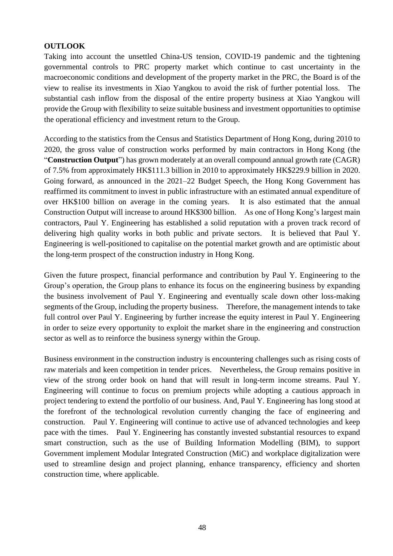## **OUTLOOK**

Taking into account the unsettled China-US tension, COVID-19 pandemic and the tightening governmental controls to PRC property market which continue to cast uncertainty in the macroeconomic conditions and development of the property market in the PRC, the Board is of the view to realise its investments in Xiao Yangkou to avoid the risk of further potential loss. The substantial cash inflow from the disposal of the entire property business at Xiao Yangkou will provide the Group with flexibility to seize suitable business and investment opportunities to optimise the operational efficiency and investment return to the Group.

According to the statistics from the Census and Statistics Department of Hong Kong, during 2010 to 2020, the gross value of construction works performed by main contractors in Hong Kong (the "**Construction Output**") has grown moderately at an overall compound annual growth rate (CAGR) of 7.5% from approximately HK\$111.3 billion in 2010 to approximately HK\$229.9 billion in 2020. Going forward, as announced in the 2021–22 Budget Speech, the Hong Kong Government has reaffirmed its commitment to invest in public infrastructure with an estimated annual expenditure of over HK\$100 billion on average in the coming years. It is also estimated that the annual Construction Output will increase to around HK\$300 billion. As one of Hong Kong's largest main contractors, Paul Y. Engineering has established a solid reputation with a proven track record of delivering high quality works in both public and private sectors. It is believed that Paul Y. Engineering is well-positioned to capitalise on the potential market growth and are optimistic about the long-term prospect of the construction industry in Hong Kong.

Given the future prospect, financial performance and contribution by Paul Y. Engineering to the Group's operation, the Group plans to enhance its focus on the engineering business by expanding the business involvement of Paul Y. Engineering and eventually scale down other loss-making segments of the Group, including the property business. Therefore, the management intends to take full control over Paul Y. Engineering by further increase the equity interest in Paul Y. Engineering in order to seize every opportunity to exploit the market share in the engineering and construction sector as well as to reinforce the business synergy within the Group.

Business environment in the construction industry is encountering challenges such as rising costs of raw materials and keen competition in tender prices. Nevertheless, the Group remains positive in view of the strong order book on hand that will result in long-term income streams. Paul Y. Engineering will continue to focus on premium projects while adopting a cautious approach in project tendering to extend the portfolio of our business. And, Paul Y. Engineering has long stood at the forefront of the technological revolution currently changing the face of engineering and construction. Paul Y. Engineering will continue to active use of advanced technologies and keep pace with the times. Paul Y. Engineering has constantly invested substantial resources to expand smart construction, such as the use of Building Information Modelling (BIM), to support Government implement Modular Integrated Construction (MiC) and workplace digitalization were used to streamline design and project planning, enhance transparency, efficiency and shorten construction time, where applicable.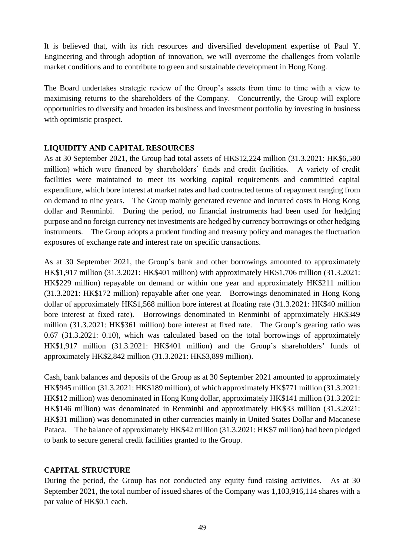It is believed that, with its rich resources and diversified development expertise of Paul Y. Engineering and through adoption of innovation, we will overcome the challenges from volatile market conditions and to contribute to green and sustainable development in Hong Kong.

The Board undertakes strategic review of the Group's assets from time to time with a view to maximising returns to the shareholders of the Company. Concurrently, the Group will explore opportunities to diversify and broaden its business and investment portfolio by investing in business with optimistic prospect.

## **LIQUIDITY AND CAPITAL RESOURCES**

As at 30 September 2021, the Group had total assets of HK\$12,224 million (31.3.2021: HK\$6,580 million) which were financed by shareholders' funds and credit facilities. A variety of credit facilities were maintained to meet its working capital requirements and committed capital expenditure, which bore interest at market rates and had contracted terms of repayment ranging from on demand to nine years. The Group mainly generated revenue and incurred costs in Hong Kong dollar and Renminbi. During the period, no financial instruments had been used for hedging purpose and no foreign currency net investments are hedged by currency borrowings or other hedging instruments. The Group adopts a prudent funding and treasury policy and manages the fluctuation exposures of exchange rate and interest rate on specific transactions.

As at 30 September 2021, the Group's bank and other borrowings amounted to approximately HK\$1,917 million (31.3.2021: HK\$401 million) with approximately HK\$1,706 million (31.3.2021: HK\$229 million) repayable on demand or within one year and approximately HK\$211 million (31.3.2021: HK\$172 million) repayable after one year. Borrowings denominated in Hong Kong dollar of approximately HK\$1,568 million bore interest at floating rate (31.3.2021: HK\$40 million bore interest at fixed rate). Borrowings denominated in Renminbi of approximately HK\$349 million (31.3.2021: HK\$361 million) bore interest at fixed rate. The Group's gearing ratio was 0.67 (31.3.2021: 0.10), which was calculated based on the total borrowings of approximately HK\$1,917 million (31.3.2021: HK\$401 million) and the Group's shareholders' funds of approximately HK\$2,842 million (31.3.2021: HK\$3,899 million).

Cash, bank balances and deposits of the Group as at 30 September 2021 amounted to approximately HK\$945 million (31.3.2021: HK\$189 million), of which approximately HK\$771 million (31.3.2021: HK\$12 million) was denominated in Hong Kong dollar, approximately HK\$141 million (31.3.2021: HK\$146 million) was denominated in Renminbi and approximately HK\$33 million (31.3.2021: HK\$31 million) was denominated in other currencies mainly in United States Dollar and Macanese Pataca. The balance of approximately HK\$42 million (31.3.2021: HK\$7 million) had been pledged to bank to secure general credit facilities granted to the Group.

## **CAPITAL STRUCTURE**

During the period, the Group has not conducted any equity fund raising activities. As at 30 September 2021, the total number of issued shares of the Company was 1,103,916,114 shares with a par value of HK\$0.1 each.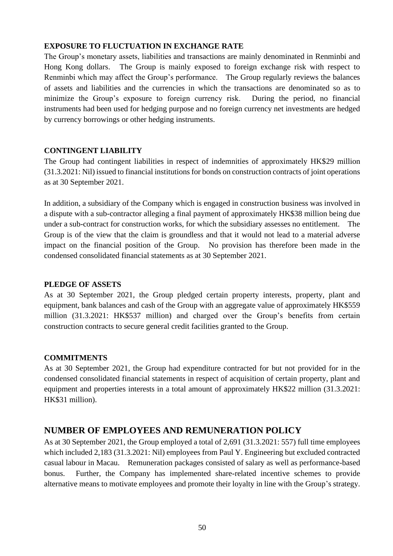## **EXPOSURE TO FLUCTUATION IN EXCHANGE RATE**

The Group's monetary assets, liabilities and transactions are mainly denominated in Renminbi and Hong Kong dollars. The Group is mainly exposed to foreign exchange risk with respect to Renminbi which may affect the Group's performance. The Group regularly reviews the balances of assets and liabilities and the currencies in which the transactions are denominated so as to minimize the Group's exposure to foreign currency risk. During the period, no financial instruments had been used for hedging purpose and no foreign currency net investments are hedged by currency borrowings or other hedging instruments.

## **CONTINGENT LIABILITY**

The Group had contingent liabilities in respect of indemnities of approximately HK\$29 million (31.3.2021: Nil) issued to financial institutions for bonds on construction contracts of joint operations as at 30 September 2021.

In addition, a subsidiary of the Company which is engaged in construction business was involved in a dispute with a sub-contractor alleging a final payment of approximately HK\$38 million being due under a sub-contract for construction works, for which the subsidiary assesses no entitlement. The Group is of the view that the claim is groundless and that it would not lead to a material adverse impact on the financial position of the Group. No provision has therefore been made in the condensed consolidated financial statements as at 30 September 2021.

## **PLEDGE OF ASSETS**

As at 30 September 2021, the Group pledged certain property interests, property, plant and equipment, bank balances and cash of the Group with an aggregate value of approximately HK\$559 million (31.3.2021: HK\$537 million) and charged over the Group's benefits from certain construction contracts to secure general credit facilities granted to the Group.

## **COMMITMENTS**

As at 30 September 2021, the Group had expenditure contracted for but not provided for in the condensed consolidated financial statements in respect of acquisition of certain property, plant and equipment and properties interests in a total amount of approximately HK\$22 million (31.3.2021: HK\$31 million).

## **NUMBER OF EMPLOYEES AND REMUNERATION POLICY**

As at 30 September 2021, the Group employed a total of 2,691 (31.3.2021: 557) full time employees which included 2,183 (31.3.2021: Nil) employees from Paul Y. Engineering but excluded contracted casual labour in Macau. Remuneration packages consisted of salary as well as performance-based bonus. Further, the Company has implemented share-related incentive schemes to provide alternative means to motivate employees and promote their loyalty in line with the Group's strategy.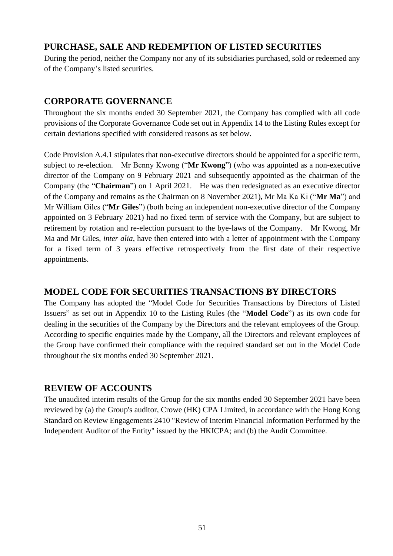# **PURCHASE, SALE AND REDEMPTION OF LISTED SECURITIES**

During the period, neither the Company nor any of its subsidiaries purchased, sold or redeemed any of the Company's listed securities.

# **CORPORATE GOVERNANCE**

Throughout the six months ended 30 September 2021, the Company has complied with all code provisions of the Corporate Governance Code set out in Appendix 14 to the Listing Rules except for certain deviations specified with considered reasons as set below.

Code Provision A.4.1 stipulates that non-executive directors should be appointed for a specific term, subject to re-election. Mr Benny Kwong ("**Mr Kwong**") (who was appointed as a non-executive director of the Company on 9 February 2021 and subsequently appointed as the chairman of the Company (the "**Chairman**") on 1 April 2021. He was then redesignated as an executive director of the Company and remains as the Chairman on 8 November 2021), Mr Ma Ka Ki ("**Mr Ma**") and Mr William Giles ("**Mr Giles**") (both being an independent non-executive director of the Company appointed on 3 February 2021) had no fixed term of service with the Company, but are subject to retirement by rotation and re-election pursuant to the bye-laws of the Company. Mr Kwong, Mr Ma and Mr Giles, *inter alia*, have then entered into with a letter of appointment with the Company for a fixed term of 3 years effective retrospectively from the first date of their respective appointments.

## **MODEL CODE FOR SECURITIES TRANSACTIONS BY DIRECTORS**

The Company has adopted the "Model Code for Securities Transactions by Directors of Listed Issuers" as set out in Appendix 10 to the Listing Rules (the "**Model Code**") as its own code for dealing in the securities of the Company by the Directors and the relevant employees of the Group. According to specific enquiries made by the Company, all the Directors and relevant employees of the Group have confirmed their compliance with the required standard set out in the Model Code throughout the six months ended 30 September 2021.

## **REVIEW OF ACCOUNTS**

The unaudited interim results of the Group for the six months ended 30 September 2021 have been reviewed by (a) the Group's auditor, Crowe (HK) CPA Limited, in accordance with the Hong Kong Standard on Review Engagements 2410 "Review of Interim Financial Information Performed by the Independent Auditor of the Entity" issued by the HKICPA; and (b) the Audit Committee.